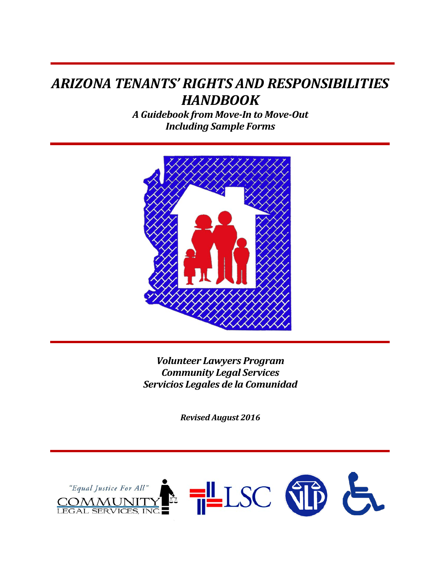## *ARIZONA TENANTS' RIGHTS AND RESPONSIBILITIES HANDBOOK*

*A Guidebook from Move-In to Move-Out Including Sample Forms*



*Volunteer Lawyers Program Community Legal Services Servicios Legales de la Comunidad*

*Revised August 2016*

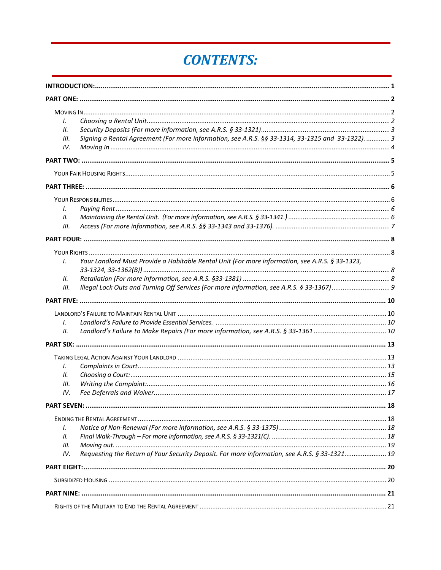# **CONTENTS:**

| I.   |                                                                                                   |  |
|------|---------------------------------------------------------------------------------------------------|--|
| 11.  |                                                                                                   |  |
| III. | Signing a Rental Agreement (For more information, see A.R.S. §§ 33-1314, 33-1315 and 33-1322).  3 |  |
| IV.  |                                                                                                   |  |
|      |                                                                                                   |  |
|      |                                                                                                   |  |
|      |                                                                                                   |  |
|      |                                                                                                   |  |
| Ι.   |                                                                                                   |  |
| II.  |                                                                                                   |  |
| III. |                                                                                                   |  |
|      |                                                                                                   |  |
|      |                                                                                                   |  |
| I.   | Your Landlord Must Provide a Habitable Rental Unit (For more information, see A.R.S. § 33-1323,   |  |
|      |                                                                                                   |  |
| II.  |                                                                                                   |  |
| III. |                                                                                                   |  |
|      |                                                                                                   |  |
|      |                                                                                                   |  |
|      |                                                                                                   |  |
| Ι.   |                                                                                                   |  |
| II.  |                                                                                                   |  |
|      |                                                                                                   |  |
|      |                                                                                                   |  |
| I.   |                                                                                                   |  |
| Н.   |                                                                                                   |  |
| Ш.   |                                                                                                   |  |
| IV.  |                                                                                                   |  |
|      |                                                                                                   |  |
|      |                                                                                                   |  |
| Ι.   |                                                                                                   |  |
| 11.  |                                                                                                   |  |
| Ш.   |                                                                                                   |  |
| IV.  | Requesting the Return of Your Security Deposit. For more information, see A.R.S. § 33-1321 19     |  |
|      |                                                                                                   |  |
|      |                                                                                                   |  |
|      |                                                                                                   |  |
|      |                                                                                                   |  |
|      |                                                                                                   |  |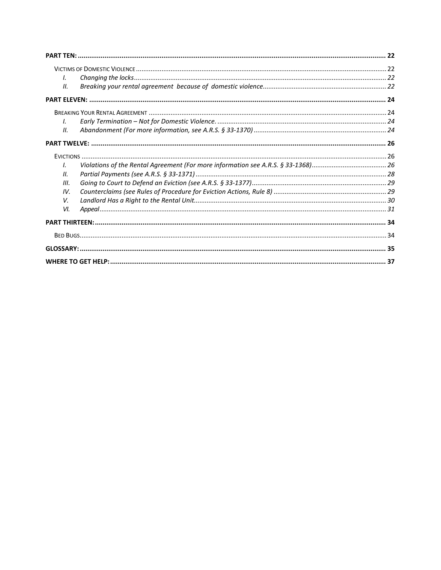| $\mathcal{L}$ |  |
|---------------|--|
| II.           |  |
|               |  |
|               |  |
| $\mathcal{L}$ |  |
| П.            |  |
|               |  |
|               |  |
| $\mathbf{I}$  |  |
| II.           |  |
| III.          |  |
| IV.           |  |
| V.            |  |
| VI.           |  |
|               |  |
|               |  |
|               |  |
|               |  |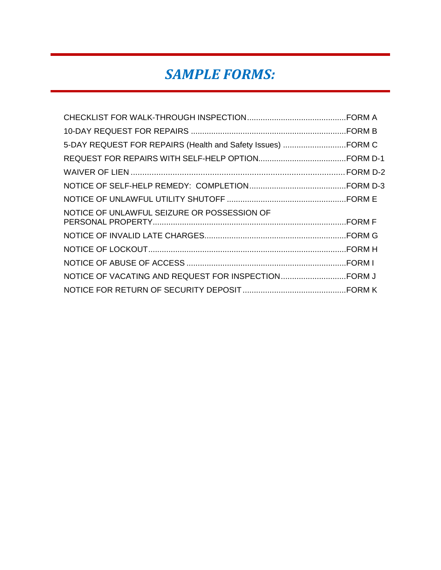# *SAMPLE FORMS:*

| NOTICE OF UNLAWFUL SEIZURE OR POSSESSION OF |  |
|---------------------------------------------|--|
|                                             |  |
|                                             |  |
|                                             |  |
|                                             |  |
|                                             |  |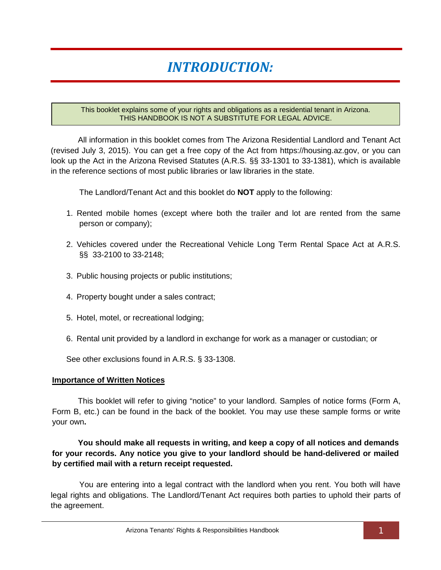# *INTRODUCTION:*

#### <span id="page-4-0"></span>This booklet explains some of your rights and obligations as a residential tenant in Arizona. THIS HANDBOOK IS NOT A SUBSTITUTE FOR LEGAL ADVICE.

All information in this booklet comes from The Arizona Residential Landlord and Tenant Act (revised July 3, 2015). You can get a free copy of the Act from https://housing.az.gov, or you can look up the Act in the Arizona Revised Statutes (A.R.S. §§ 33-1301 to 33-1381), which is available in the reference sections of most public libraries or law libraries in the state.

The Landlord/Tenant Act and this booklet do **NOT** apply to the following:

- 1. Rented mobile homes (except where both the trailer and lot are rented from the same person or company);
- 2. Vehicles covered under the Recreational Vehicle Long Term Rental Space Act at A.R.S. §§ 33-2100 to 33-2148;
- 3. Public housing projects or public institutions;
- 4. Property bought under a sales contract;
- 5. Hotel, motel, or recreational lodging;
- 6. Rental unit provided by a landlord in exchange for work as a manager or custodian; or

See other exclusions found in A.R.S. § 33-1308.

#### **Importance of Written Notices**

This booklet will refer to giving "notice" to your landlord. Samples of notice forms (Form A, Form B, etc.) can be found in the back of the booklet. You may use these sample forms or write your own**.** 

#### **You should make all requests in writing, and keep a copy of all notices and demands for your records. Any notice you give to your landlord should be hand-delivered or mailed by certified mail with a return receipt requested.**

You are entering into a legal contract with the landlord when you rent. You both will have legal rights and obligations. The Landlord/Tenant Act requires both parties to uphold their parts of the agreement.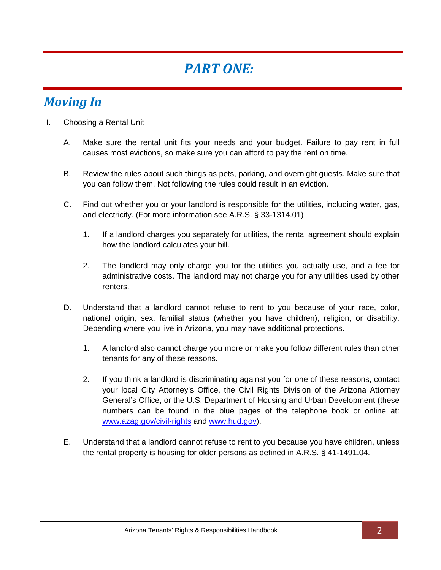# *PART ONE:*

## <span id="page-5-1"></span><span id="page-5-0"></span>*Moving In*

- <span id="page-5-2"></span>I. Choosing a Rental Unit
	- A. Make sure the rental unit fits your needs and your budget. Failure to pay rent in full causes most evictions, so make sure you can afford to pay the rent on time.
	- B. Review the rules about such things as pets, parking, and overnight guests. Make sure that you can follow them. Not following the rules could result in an eviction.
	- C. Find out whether you or your landlord is responsible for the utilities, including water, gas, and electricity. (For more information see A.R.S. § 33-1314.01)
		- 1. If a landlord charges you separately for utilities, the rental agreement should explain how the landlord calculates your bill.
		- 2. The landlord may only charge you for the utilities you actually use, and a fee for administrative costs. The landlord may not charge you for any utilities used by other renters.
	- D. Understand that a landlord cannot refuse to rent to you because of your race, color, national origin, sex, familial status (whether you have children), religion, or disability. Depending where you live in Arizona, you may have additional protections.
		- 1. A landlord also cannot charge you more or make you follow different rules than other tenants for any of these reasons.
		- 2. If you think a landlord is discriminating against you for one of these reasons, contact your local City Attorney's Office, the Civil Rights Division of the Arizona Attorney General's Office, or the U.S. Department of Housing and Urban Development (these numbers can be found in the blue pages of the telephone book or online at: [www.azag.gov/civil-rights](http://www.azag.gov/civil-rights) and [www.hud.gov\)](http://www.hud.gov/).
	- E. Understand that a landlord cannot refuse to rent to you because you have children, unless the rental property is housing for older persons as defined in A.R.S. § 41-1491.04.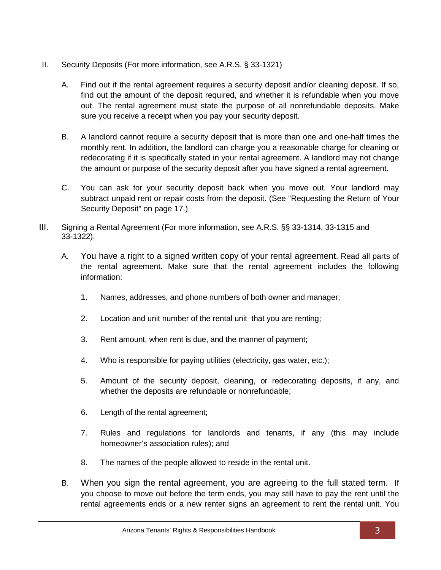- <span id="page-6-0"></span>II. Security Deposits (For more information, see A.R.S. § 33-1321)
	- A. Find out if the rental agreement requires a security deposit and/or cleaning deposit. If so, find out the amount of the deposit required, and whether it is refundable when you move out. The rental agreement must state the purpose of all nonrefundable deposits. Make sure you receive a receipt when you pay your security deposit.
	- B. A landlord cannot require a security deposit that is more than one and one-half times the monthly rent. In addition, the landlord can charge you a reasonable charge for cleaning or redecorating if it is specifically stated in your rental agreement. A landlord may not change the amount or purpose of the security deposit after you have signed a rental agreement.
	- C. You can ask for your security deposit back when you move out. Your landlord may subtract unpaid rent or repair costs from the deposit. (See "Requesting the Return of Your Security Deposit" on page 17.)
- <span id="page-6-1"></span>III. Signing a Rental Agreement (For more information, see A.R.S. §§ 33-1314, 33-1315 and 33-1322).
	- A. You have a right to a signed written copy of your rental agreement. Read all parts of the rental agreement. Make sure that the rental agreement includes the following information:
		- 1. Names, addresses, and phone numbers of both owner and manager;
		- 2. Location and unit number of the rental unit that you are renting;
		- 3. Rent amount, when rent is due, and the manner of payment;
		- 4. Who is responsible for paying utilities (electricity, gas water, etc.);
		- 5. Amount of the security deposit, cleaning, or redecorating deposits, if any, and whether the deposits are refundable or nonrefundable;
		- 6. Length of the rental agreement;
		- 7. Rules and regulations for landlords and tenants, if any (this may include homeowner's association rules); and
		- 8. The names of the people allowed to reside in the rental unit.
	- B. When you sign the rental agreement, you are agreeing to the full stated term. If you choose to move out before the term ends, you may still have to pay the rent until the rental agreements ends or a new renter signs an agreement to rent the rental unit. You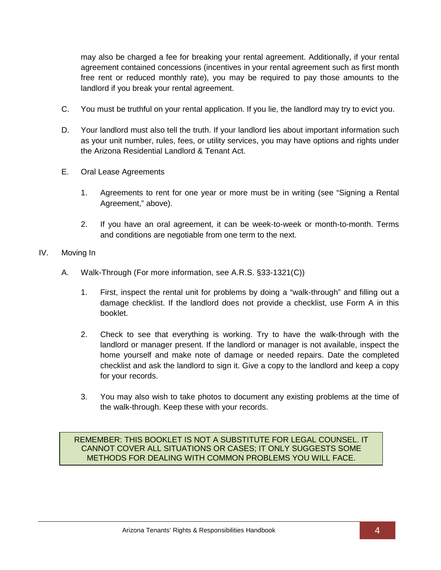may also be charged a fee for breaking your rental agreement. Additionally, if your rental agreement contained concessions (incentives in your rental agreement such as first month free rent or reduced monthly rate), you may be required to pay those amounts to the landlord if you break your rental agreement.

- C. You must be truthful on your rental application. If you lie, the landlord may try to evict you.
- D. Your landlord must also tell the truth. If your landlord lies about important information such as your unit number, rules, fees, or utility services, you may have options and rights under the Arizona Residential Landlord & Tenant Act.
- E. Oral Lease Agreements
	- 1. Agreements to rent for one year or more must be in writing (see "Signing a Rental Agreement," above).
	- 2. If you have an oral agreement, it can be week-to-week or month-to-month. Terms and conditions are negotiable from one term to the next.

#### <span id="page-7-0"></span>IV. Moving In

- A. Walk-Through (For more information, see A.R.S. §33-1321(C))
	- 1. First, inspect the rental unit for problems by doing a "walk-through" and filling out a damage checklist. If the landlord does not provide a checklist, use Form A in this booklet.
	- 2. Check to see that everything is working. Try to have the walk-through with the landlord or manager present. If the landlord or manager is not available, inspect the home yourself and make note of damage or needed repairs. Date the completed checklist and ask the landlord to sign it. Give a copy to the landlord and keep a copy for your records.
	- 3. You may also wish to take photos to document any existing problems at the time of the walk-through. Keep these with your records.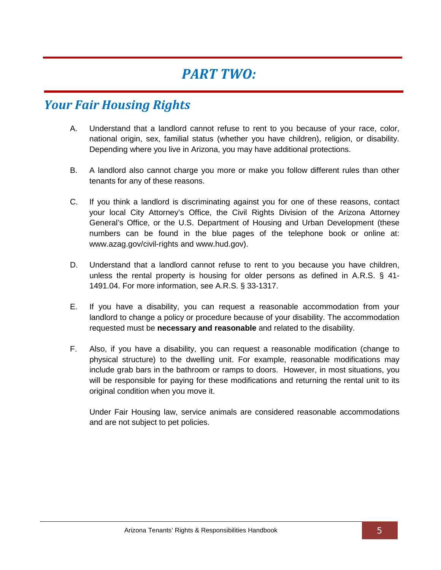## *PART TWO:*

### <span id="page-8-1"></span><span id="page-8-0"></span>*Your Fair Housing Rights*

- A. Understand that a landlord cannot refuse to rent to you because of your race, color, national origin, sex, familial status (whether you have children), religion, or disability. Depending where you live in Arizona, you may have additional protections.
- B. A landlord also cannot charge you more or make you follow different rules than other tenants for any of these reasons.
- C. If you think a landlord is discriminating against you for one of these reasons, contact your local City Attorney's Office, the Civil Rights Division of the Arizona Attorney General's Office, or the U.S. Department of Housing and Urban Development (these numbers can be found in the blue pages of the telephone book or online at: www.azag.gov/civil-rights and www.hud.gov).
- D. Understand that a landlord cannot refuse to rent to you because you have children, unless the rental property is housing for older persons as defined in A.R.S. § 41- 1491.04. For more information, see A.R.S. § 33-1317.
- E. If you have a disability, you can request a reasonable accommodation from your landlord to change a policy or procedure because of your disability. The accommodation requested must be **necessary and reasonable** and related to the disability.
- F. Also, if you have a disability, you can request a reasonable modification (change to physical structure) to the dwelling unit. For example, reasonable modifications may include grab bars in the bathroom or ramps to doors. However, in most situations, you will be responsible for paying for these modifications and returning the rental unit to its original condition when you move it.

Under Fair Housing law, service animals are considered reasonable accommodations and are not subject to pet policies.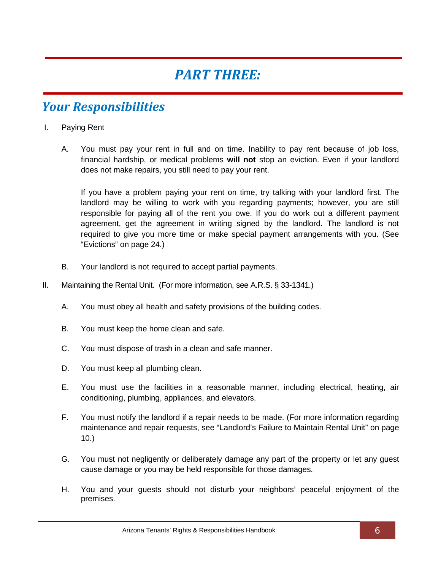## *PART THREE:*

## <span id="page-9-1"></span><span id="page-9-0"></span>*Your Responsibilities*

- <span id="page-9-2"></span>I. Paying Rent
	- A. You must pay your rent in full and on time. Inability to pay rent because of job loss, financial hardship, or medical problems **will not** stop an eviction. Even if your landlord does not make repairs, you still need to pay your rent.

If you have a problem paying your rent on time, try talking with your landlord first. The landlord may be willing to work with you regarding payments; however, you are still responsible for paying all of the rent you owe. If you do work out a different payment agreement, get the agreement in writing signed by the landlord. The landlord is not required to give you more time or make special payment arrangements with you. (See "Evictions" on page 24.)

- B. Your landlord is not required to accept partial payments.
- <span id="page-9-3"></span>II. Maintaining the Rental Unit. (For more information, see A.R.S. § 33-1341.)
	- A. You must obey all health and safety provisions of the building codes.
	- B. You must keep the home clean and safe.
	- C. You must dispose of trash in a clean and safe manner.
	- D. You must keep all plumbing clean.
	- E. You must use the facilities in a reasonable manner, including electrical, heating, air conditioning, plumbing, appliances, and elevators.
	- F. You must notify the landlord if a repair needs to be made. (For more information regarding maintenance and repair requests, see "Landlord's Failure to Maintain Rental Unit" on page 10.)
	- G. You must not negligently or deliberately damage any part of the property or let any guest cause damage or you may be held responsible for those damages.
	- H. You and your guests should not disturb your neighbors' peaceful enjoyment of the premises.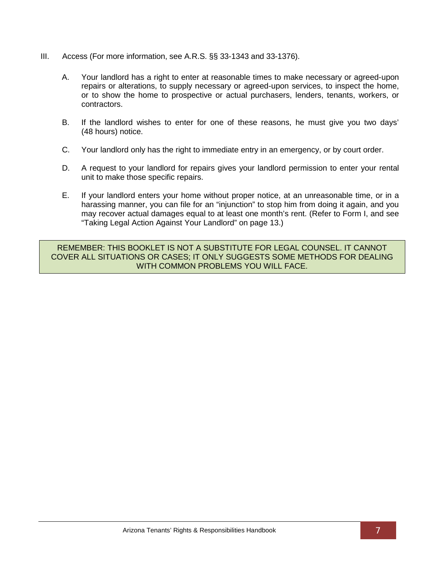- <span id="page-10-0"></span>III. Access (For more information, see A.R.S. §§ 33-1343 and 33-1376).
	- A. Your landlord has a right to enter at reasonable times to make necessary or agreed-upon repairs or alterations, to supply necessary or agreed-upon services, to inspect the home, or to show the home to prospective or actual purchasers, lenders, tenants, workers, or contractors.
	- B. If the landlord wishes to enter for one of these reasons, he must give you two days' (48 hours) notice.
	- C. Your landlord only has the right to immediate entry in an emergency, or by court order.
	- D. A request to your landlord for repairs gives your landlord permission to enter your rental unit to make those specific repairs.
	- E. If your landlord enters your home without proper notice, at an unreasonable time, or in a harassing manner, you can file for an "injunction" to stop him from doing it again, and you may recover actual damages equal to at least one month's rent. (Refer to Form I, and see "Taking Legal Action Against Your Landlord" on page 13.)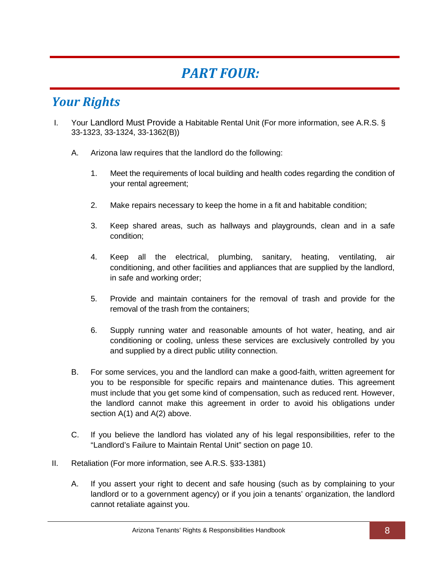# *PART FOUR:*

## <span id="page-11-1"></span><span id="page-11-0"></span>*Your Rights*

- <span id="page-11-2"></span>I. Your Landlord Must Provide a Habitable Rental Unit (For more information, see A.R.S. § 33-1323, 33-1324, 33-1362(B))
	- A. Arizona law requires that the landlord do the following:
		- 1. Meet the requirements of local building and health codes regarding the condition of your rental agreement;
		- 2. Make repairs necessary to keep the home in a fit and habitable condition;
		- 3. Keep shared areas, such as hallways and playgrounds, clean and in a safe condition;
		- 4. Keep all the electrical, plumbing, sanitary, heating, ventilating, air conditioning, and other facilities and appliances that are supplied by the landlord, in safe and working order;
		- 5. Provide and maintain containers for the removal of trash and provide for the removal of the trash from the containers;
		- 6. Supply running water and reasonable amounts of hot water, heating, and air conditioning or cooling, unless these services are exclusively controlled by you and supplied by a direct public utility connection.
	- B. For some services, you and the landlord can make a good-faith, written agreement for you to be responsible for specific repairs and maintenance duties. This agreement must include that you get some kind of compensation, such as reduced rent. However, the landlord cannot make this agreement in order to avoid his obligations under section A(1) and A(2) above.
	- C. If you believe the landlord has violated any of his legal responsibilities, refer to the "Landlord's Failure to Maintain Rental Unit" section on page 10.
- <span id="page-11-3"></span>II. Retaliation (For more information, see A.R.S. §33-1381)
	- A. If you assert your right to decent and safe housing (such as by complaining to your landlord or to a government agency) or if you join a tenants' organization, the landlord cannot retaliate against you.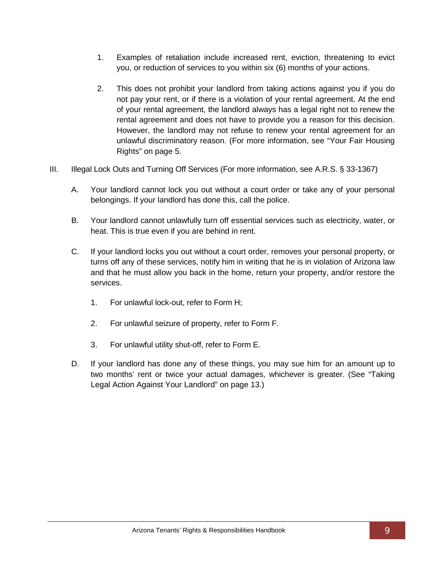- 1. Examples of retaliation include increased rent, eviction, threatening to evict you, or reduction of services to you within six (6) months of your actions.
- 2. This does not prohibit your landlord from taking actions against you if you do not pay your rent, or if there is a violation of your rental agreement. At the end of your rental agreement, the landlord always has a legal right not to renew the rental agreement and does not have to provide you a reason for this decision. However, the landlord may not refuse to renew your rental agreement for an unlawful discriminatory reason. (For more information, see "Your Fair Housing Rights" on page 5.
- <span id="page-12-0"></span>III. Illegal Lock Outs and Turning Off Services (For more information, see A.R.S. § 33-1367)
	- A. Your landlord cannot lock you out without a court order or take any of your personal belongings. If your landlord has done this, call the police.
	- B. Your landlord cannot unlawfully turn off essential services such as electricity, water, or heat. This is true even if you are behind in rent.
	- C. If your landlord locks you out without a court order, removes your personal property, or turns off any of these services, notify him in writing that he is in violation of Arizona law and that he must allow you back in the home, return your property, and/or restore the services.
		- 1. For unlawful lock-out, refer to Form H;
		- 2. For unlawful seizure of property, refer to Form F.
		- 3. For unlawful utility shut-off, refer to Form E.
	- D. If your landlord has done any of these things, you may sue him for an amount up to two months' rent or twice your actual damages, whichever is greater. (See "Taking Legal Action Against Your Landlord" on page 13.)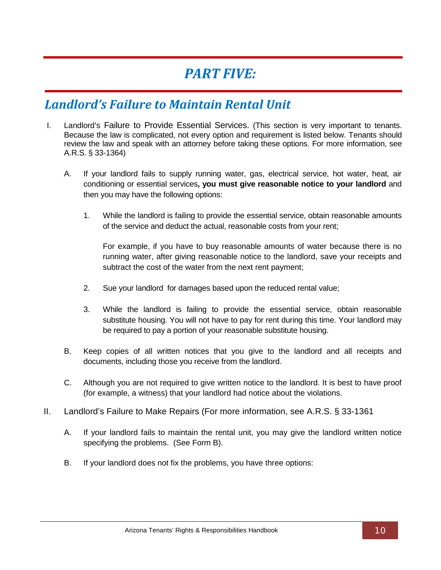## *PART FIVE:*

#### <span id="page-13-1"></span><span id="page-13-0"></span>*Landlord's Failure to Maintain Rental Unit*

- <span id="page-13-2"></span>I. Landlord's Failure to Provide Essential Services. (This section is very important to tenants. Because the law is complicated, not every option and requirement is listed below. Tenants should review the law and speak with an attorney before taking these options. For more information, see A.R.S. § 33-1364)
	- A. If your landlord fails to supply running water, gas, electrical service, hot water, heat, air conditioning or essential services**, you must give reasonable notice to your landlord** and then you may have the following options:
		- 1. While the landlord is failing to provide the essential service, obtain reasonable amounts of the service and deduct the actual, reasonable costs from your rent;

For example, if you have to buy reasonable amounts of water because there is no running water, after giving reasonable notice to the landlord, save your receipts and subtract the cost of the water from the next rent payment;

- 2. Sue your landlord for damages based upon the reduced rental value;
- 3. While the landlord is failing to provide the essential service, obtain reasonable substitute housing. You will not have to pay for rent during this time. Your landlord may be required to pay a portion of your reasonable substitute housing.
- B. Keep copies of all written notices that you give to the landlord and all receipts and documents, including those you receive from the landlord.
- C. Although you are not required to give written notice to the landlord. It is best to have proof (for example, a witness) that your landlord had notice about the violations.
- <span id="page-13-3"></span>II. Landlord's Failure to Make Repairs (For more information, see A.R.S. § 33-1361
	- A. If your landlord fails to maintain the rental unit, you may give the landlord written notice specifying the problems. (See Form B).
	- B. If your landlord does not fix the problems, you have three options: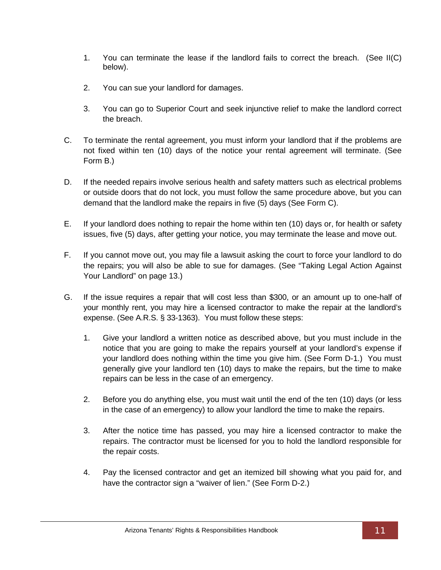- 1. You can terminate the lease if the landlord fails to correct the breach. (See II(C) below).
- 2. You can sue your landlord for damages.
- 3. You can go to Superior Court and seek injunctive relief to make the landlord correct the breach.
- C. To terminate the rental agreement, you must inform your landlord that if the problems are not fixed within ten (10) days of the notice your rental agreement will terminate. (See Form B.)
- D. If the needed repairs involve serious health and safety matters such as electrical problems or outside doors that do not lock, you must follow the same procedure above, but you can demand that the landlord make the repairs in five (5) days (See Form C).
- E. If your landlord does nothing to repair the home within ten (10) days or, for health or safety issues, five (5) days, after getting your notice, you may terminate the lease and move out.
- F. If you cannot move out, you may file a lawsuit asking the court to force your landlord to do the repairs; you will also be able to sue for damages. (See "Taking Legal Action Against Your Landlord" on page 13.)
- G. If the issue requires a repair that will cost less than \$300, or an amount up to one-half of your monthly rent, you may hire a licensed contractor to make the repair at the landlord's expense. (See A.R.S. § 33-1363). You must follow these steps:
	- 1. Give your landlord a written notice as described above, but you must include in the notice that you are going to make the repairs yourself at your landlord's expense if your landlord does nothing within the time you give him. (See Form D-1.) You must generally give your landlord ten (10) days to make the repairs, but the time to make repairs can be less in the case of an emergency.
	- 2. Before you do anything else, you must wait until the end of the ten (10) days (or less in the case of an emergency) to allow your landlord the time to make the repairs.
	- 3. After the notice time has passed, you may hire a licensed contractor to make the repairs. The contractor must be licensed for you to hold the landlord responsible for the repair costs.
	- 4. Pay the licensed contractor and get an itemized bill showing what you paid for, and have the contractor sign a "waiver of lien." (See Form D-2.)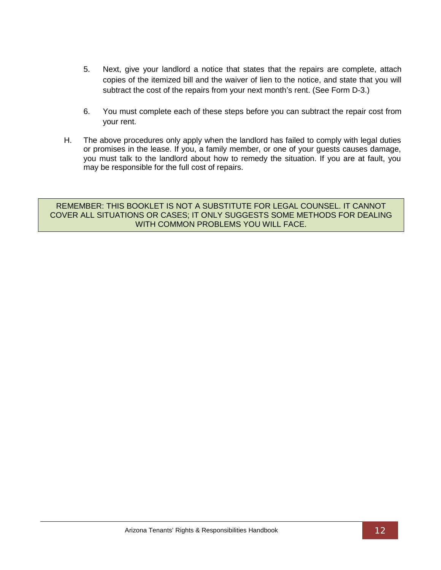- 5. Next, give your landlord a notice that states that the repairs are complete, attach copies of the itemized bill and the waiver of lien to the notice, and state that you will subtract the cost of the repairs from your next month's rent. (See Form D-3.)
- 6. You must complete each of these steps before you can subtract the repair cost from your rent.
- H. The above procedures only apply when the landlord has failed to comply with legal duties or promises in the lease. If you, a family member, or one of your guests causes damage, you must talk to the landlord about how to remedy the situation. If you are at fault, you may be responsible for the full cost of repairs.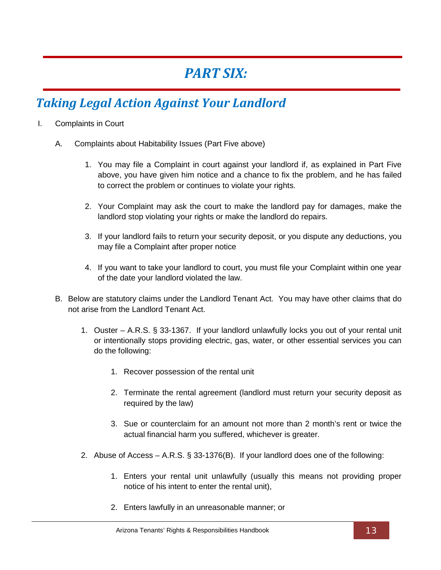# *PART SIX:*

## <span id="page-16-1"></span><span id="page-16-0"></span>*Taking Legal Action Against Your Landlord*

- <span id="page-16-2"></span>I. Complaints in Court
	- A. Complaints about Habitability Issues (Part Five above)
		- 1. You may file a Complaint in court against your landlord if, as explained in Part Five above, you have given him notice and a chance to fix the problem, and he has failed to correct the problem or continues to violate your rights.
		- 2. Your Complaint may ask the court to make the landlord pay for damages, make the landlord stop violating your rights or make the landlord do repairs.
		- 3. If your landlord fails to return your security deposit, or you dispute any deductions, you may file a Complaint after proper notice
		- 4. If you want to take your landlord to court, you must file your Complaint within one year of the date your landlord violated the law.
	- B. Below are statutory claims under the Landlord Tenant Act. You may have other claims that do not arise from the Landlord Tenant Act.
		- 1. Ouster A.R.S. § 33-1367. If your landlord unlawfully locks you out of your rental unit or intentionally stops providing electric, gas, water, or other essential services you can do the following:
			- 1. Recover possession of the rental unit
			- 2. Terminate the rental agreement (landlord must return your security deposit as required by the law)
			- 3. Sue or counterclaim for an amount not more than 2 month's rent or twice the actual financial harm you suffered, whichever is greater.
		- 2. Abuse of Access A.R.S. § 33-1376(B). If your landlord does one of the following:
			- 1. Enters your rental unit unlawfully (usually this means not providing proper notice of his intent to enter the rental unit),
			- 2. Enters lawfully in an unreasonable manner; or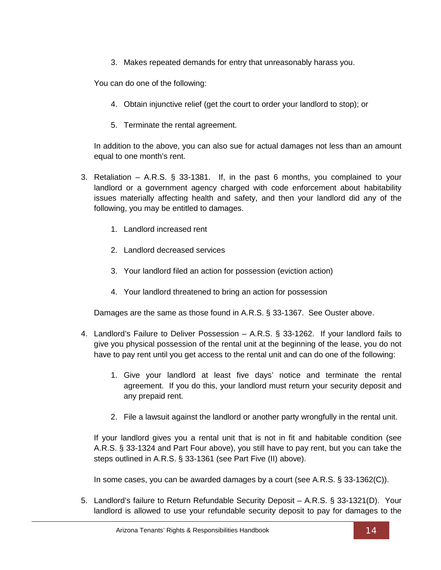3. Makes repeated demands for entry that unreasonably harass you.

You can do one of the following:

- 4. Obtain injunctive relief (get the court to order your landlord to stop); or
- 5. Terminate the rental agreement.

In addition to the above, you can also sue for actual damages not less than an amount equal to one month's rent.

- 3. Retaliation A.R.S. § 33-1381. If, in the past 6 months, you complained to your landlord or a government agency charged with code enforcement about habitability issues materially affecting health and safety, and then your landlord did any of the following, you may be entitled to damages.
	- 1. Landlord increased rent
	- 2. Landlord decreased services
	- 3. Your landlord filed an action for possession (eviction action)
	- 4. Your landlord threatened to bring an action for possession

Damages are the same as those found in A.R.S. § 33-1367. See Ouster above.

- 4. Landlord's Failure to Deliver Possession A.R.S. § 33-1262. If your landlord fails to give you physical possession of the rental unit at the beginning of the lease, you do not have to pay rent until you get access to the rental unit and can do one of the following:
	- 1. Give your landlord at least five days' notice and terminate the rental agreement. If you do this, your landlord must return your security deposit and any prepaid rent.
	- 2. File a lawsuit against the landlord or another party wrongfully in the rental unit.

If your landlord gives you a rental unit that is not in fit and habitable condition (see A.R.S. § 33-1324 and Part Four above), you still have to pay rent, but you can take the steps outlined in A.R.S. § 33-1361 (see Part Five (II) above).

In some cases, you can be awarded damages by a court (see A.R.S. § 33-1362(C)).

5. Landlord's failure to Return Refundable Security Deposit – A.R.S. § 33-1321(D). Your landlord is allowed to use your refundable security deposit to pay for damages to the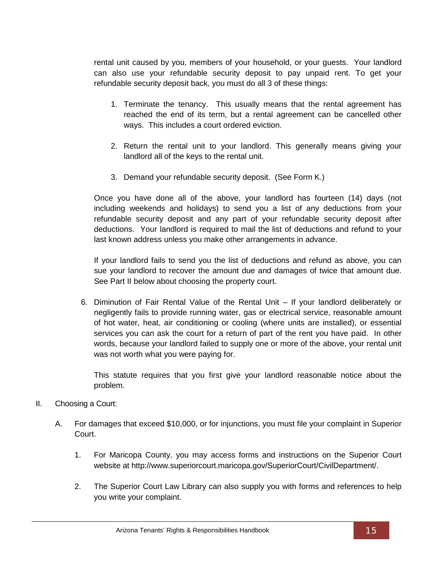rental unit caused by you, members of your household, or your guests. Your landlord can also use your refundable security deposit to pay unpaid rent. To get your refundable security deposit back, you must do all 3 of these things:

- 1. Terminate the tenancy. This usually means that the rental agreement has reached the end of its term, but a rental agreement can be cancelled other ways. This includes a court ordered eviction.
- 2. Return the rental unit to your landlord. This generally means giving your landlord all of the keys to the rental unit.
- 3. Demand your refundable security deposit. (See Form K.)

Once you have done all of the above, your landlord has fourteen (14) days (not including weekends and holidays) to send you a list of any deductions from your refundable security deposit and any part of your refundable security deposit after deductions. Your landlord is required to mail the list of deductions and refund to your last known address unless you make other arrangements in advance.

If your landlord fails to send you the list of deductions and refund as above, you can sue your landlord to recover the amount due and damages of twice that amount due. See Part II below about choosing the property court.

6. Diminution of Fair Rental Value of the Rental Unit – If your landlord deliberately or negligently fails to provide running water, gas or electrical service, reasonable amount of hot water, heat, air conditioning or cooling (where units are installed), or essential services you can ask the court for a return of part of the rent you have paid. In other words, because your landlord failed to supply one or more of the above, your rental unit was not worth what you were paying for.

This statute requires that you first give your landlord reasonable notice about the problem.

- <span id="page-18-0"></span>II. Choosing a Court:
	- A. For damages that exceed \$10,000, or for injunctions, you must file your complaint in Superior Court.
		- 1. For Maricopa County, you may access forms and instructions on the Superior Court website at http://www.superiorcourt.maricopa.gov/SuperiorCourt/CivilDepartment/.
		- 2. The Superior Court Law Library can also supply you with forms and references to help you write your complaint.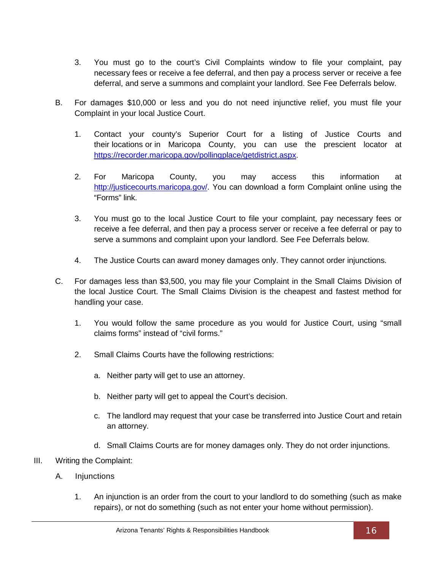- 3. You must go to the court's Civil Complaints window to file your complaint, pay necessary fees or receive a fee deferral, and then pay a process server or receive a fee deferral, and serve a summons and complaint your landlord. See Fee Deferrals below.
- B. For damages \$10,000 or less and you do not need injunctive relief, you must file your Complaint in your local Justice Court.
	- 1. Contact your county's Superior Court for a listing of Justice Courts and their locations or in Maricopa County, you can use the prescient locator at [https://recorder.maricopa.gov/pollingplace/getdistrict.aspx.](https://recorder.maricopa.gov/pollingplace/getdistrict.aspx)
	- 2. For Maricopa County, you may access this information at [http://justicecourts.maricopa.gov/.](http://justicecourts.maricopa.gov/) You can download a form Complaint online using the "Forms" link.
	- 3. You must go to the local Justice Court to file your complaint, pay necessary fees or receive a fee deferral, and then pay a process server or receive a fee deferral or pay to serve a summons and complaint upon your landlord. See Fee Deferrals below*.*
	- 4. The Justice Courts can award money damages only. They cannot order injunctions.
- C. For damages less than \$3,500, you may file your Complaint in the Small Claims Division of the local Justice Court. The Small Claims Division is the cheapest and fastest method for handling your case.
	- 1. You would follow the same procedure as you would for Justice Court, using "small claims forms" instead of "civil forms."
	- 2. Small Claims Courts have the following restrictions:
		- a. Neither party will get to use an attorney.
		- b. Neither party will get to appeal the Court's decision.
		- c. The landlord may request that your case be transferred into Justice Court and retain an attorney.
		- d. Small Claims Courts are for money damages only. They do not order injunctions.
- <span id="page-19-0"></span>III. Writing the Complaint:
	- A. Injunctions
		- 1. An injunction is an order from the court to your landlord to do something (such as make repairs), or not do something (such as not enter your home without permission).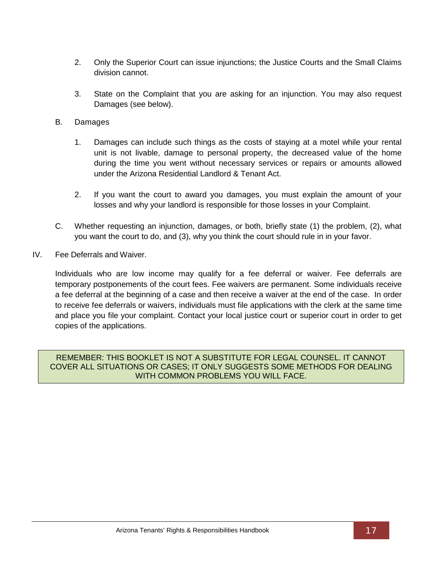- 2. Only the Superior Court can issue injunctions; the Justice Courts and the Small Claims division cannot.
- 3. State on the Complaint that you are asking for an injunction. You may also request Damages (see below).
- B. Damages
	- 1. Damages can include such things as the costs of staying at a motel while your rental unit is not livable, damage to personal property, the decreased value of the home during the time you went without necessary services or repairs or amounts allowed under the Arizona Residential Landlord & Tenant Act.
	- 2. If you want the court to award you damages, you must explain the amount of your losses and why your landlord is responsible for those losses in your Complaint.
- C. Whether requesting an injunction, damages, or both, briefly state (1) the problem, (2), what you want the court to do, and (3), why you think the court should rule in in your favor.
- <span id="page-20-0"></span>IV. Fee Deferrals and Waiver.

Individuals who are low income may qualify for a fee deferral or waiver. Fee deferrals are temporary postponements of the court fees. Fee waivers are permanent. Some individuals receive a fee deferral at the beginning of a case and then receive a waiver at the end of the case. In order to receive fee deferrals or waivers, individuals must file applications with the clerk at the same time and place you file your complaint. Contact your local justice court or superior court in order to get copies of the applications.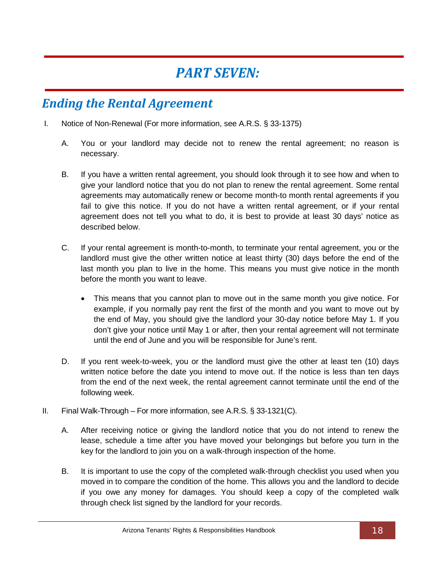## *PART SEVEN:*

## <span id="page-21-1"></span><span id="page-21-0"></span>*Ending the Rental Agreement*

- <span id="page-21-2"></span>I. Notice of Non-Renewal (For more information, see A.R.S. § 33-1375)
	- A. You or your landlord may decide not to renew the rental agreement; no reason is necessary.
	- B. If you have a written rental agreement, you should look through it to see how and when to give your landlord notice that you do not plan to renew the rental agreement. Some rental agreements may automatically renew or become month-to month rental agreements if you fail to give this notice. If you do not have a written rental agreement, or if your rental agreement does not tell you what to do, it is best to provide at least 30 days' notice as described below.
	- C. If your rental agreement is month-to-month, to terminate your rental agreement, you or the landlord must give the other written notice at least thirty (30) days before the end of the last month you plan to live in the home. This means you must give notice in the month before the month you want to leave.
		- This means that you cannot plan to move out in the same month you give notice. For example, if you normally pay rent the first of the month and you want to move out by the end of May, you should give the landlord your 30-day notice before May 1. If you don't give your notice until May 1 or after, then your rental agreement will not terminate until the end of June and you will be responsible for June's rent.
	- D. If you rent week-to-week, you or the landlord must give the other at least ten (10) days written notice before the date you intend to move out. If the notice is less than ten days from the end of the next week, the rental agreement cannot terminate until the end of the following week.
- <span id="page-21-3"></span>II. Final Walk-Through – For more information, see A.R.S. § 33-1321(C).
	- A. After receiving notice or giving the landlord notice that you do not intend to renew the lease, schedule a time after you have moved your belongings but before you turn in the key for the landlord to join you on a walk-through inspection of the home.
	- B. It is important to use the copy of the completed walk-through checklist you used when you moved in to compare the condition of the home. This allows you and the landlord to decide if you owe any money for damages. You should keep a copy of the completed walk through check list signed by the landlord for your records.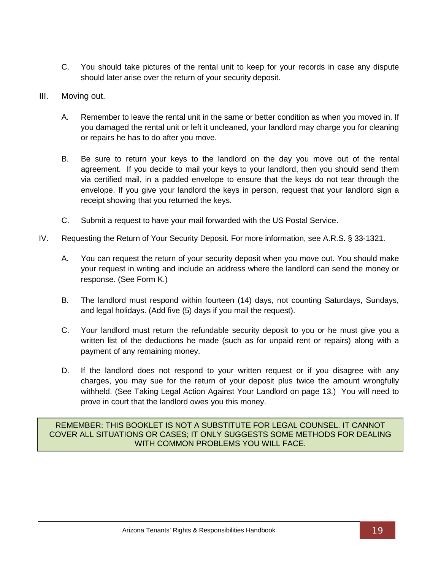- C. You should take pictures of the rental unit to keep for your records in case any dispute should later arise over the return of your security deposit.
- <span id="page-22-0"></span>III. Moving out.
	- A. Remember to leave the rental unit in the same or better condition as when you moved in. If you damaged the rental unit or left it uncleaned, your landlord may charge you for cleaning or repairs he has to do after you move.
	- B. Be sure to return your keys to the landlord on the day you move out of the rental agreement. If you decide to mail your keys to your landlord, then you should send them via certified mail, in a padded envelope to ensure that the keys do not tear through the envelope. If you give your landlord the keys in person, request that your landlord sign a receipt showing that you returned the keys.
	- C. Submit a request to have your mail forwarded with the US Postal Service.
- <span id="page-22-1"></span>IV. Requesting the Return of Your Security Deposit. For more information, see A.R.S. § 33-1321.
	- A. You can request the return of your security deposit when you move out. You should make your request in writing and include an address where the landlord can send the money or response. (See Form K.)
	- B. The landlord must respond within fourteen (14) days, not counting Saturdays, Sundays, and legal holidays. (Add five (5) days if you mail the request).
	- C. Your landlord must return the refundable security deposit to you or he must give you a written list of the deductions he made (such as for unpaid rent or repairs) along with a payment of any remaining money.
	- D. If the landlord does not respond to your written request or if you disagree with any charges, you may sue for the return of your deposit plus twice the amount wrongfully withheld. (See Taking Legal Action Against Your Landlord on page 13.) You will need to prove in court that the landlord owes you this money.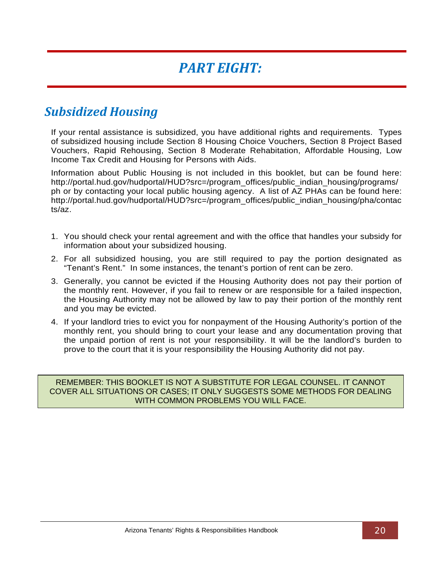# *PART EIGHT:*

### <span id="page-23-1"></span><span id="page-23-0"></span>*Subsidized Housing*

If your rental assistance is subsidized, you have additional rights and requirements. Types of subsidized housing include Section 8 Housing Choice Vouchers, Section 8 Project Based Vouchers, Rapid Rehousing, Section 8 Moderate Rehabitation, Affordable Housing, Low Income Tax Credit and Housing for Persons with Aids.

Information about Public Housing is not included in this booklet, but can be found here: http://portal.hud.gov/hudportal/HUD?src=/program\_offices/public\_indian\_housing/programs/ ph or by contacting your local public housing agency. A list of AZ PHAs can be found here: http://portal.hud.gov/hudportal/HUD?src=/program\_offices/public\_indian\_housing/pha/contac ts/az.

- 1. You should check your rental agreement and with the office that handles your subsidy for information about your subsidized housing.
- 2. For all subsidized housing, you are still required to pay the portion designated as "Tenant's Rent." In some instances, the tenant's portion of rent can be zero.
- 3. Generally, you cannot be evicted if the Housing Authority does not pay their portion of the monthly rent. However, if you fail to renew or are responsible for a failed inspection, the Housing Authority may not be allowed by law to pay their portion of the monthly rent and you may be evicted.
- 4. If your landlord tries to evict you for nonpayment of the Housing Authority's portion of the monthly rent, you should bring to court your lease and any documentation proving that the unpaid portion of rent is not your responsibility. It will be the landlord's burden to prove to the court that it is your responsibility the Housing Authority did not pay.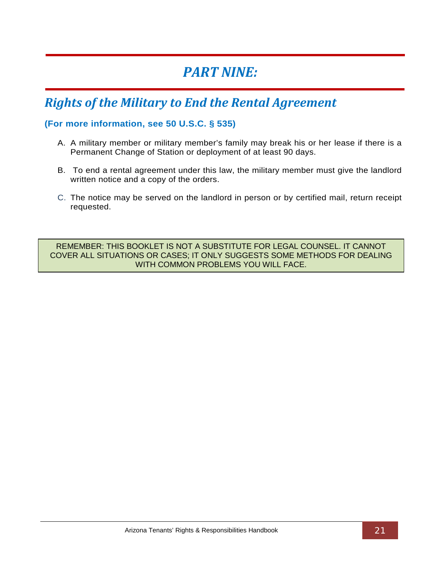## *PART NINE:*

## <span id="page-24-1"></span><span id="page-24-0"></span>*Rights of the Military to End the Rental Agreement*

#### **(For more information, see 50 U.S.C. § 535)**

- A. A military member or military member's family may break his or her lease if there is a Permanent Change of Station or deployment of at least 90 days.
- B. To end a rental agreement under this law, the military member must give the landlord written notice and a copy of the orders.
- C. The notice may be served on the landlord in person or by certified mail, return receipt requested.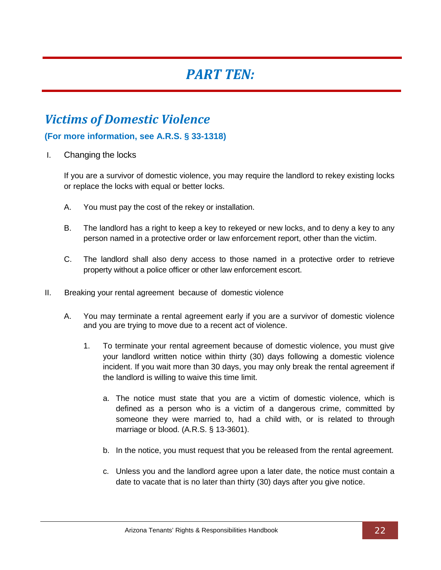## *PART TEN:*

## <span id="page-25-1"></span><span id="page-25-0"></span>*Victims of Domestic Violence*

#### **(For more information, see A.R.S. § 33-1318)**

<span id="page-25-2"></span>I. Changing the locks

If you are a survivor of domestic violence, you may require the landlord to rekey existing locks or replace the locks with equal or better locks.

- A. You must pay the cost of the rekey or installation.
- B. The landlord has a right to keep a key to rekeyed or new locks, and to deny a key to any person named in a protective order or law enforcement report, other than the victim.
- C. The landlord shall also deny access to those named in a protective order to retrieve property without a police officer or other law enforcement escort.
- <span id="page-25-3"></span>II. Breaking your rental agreement because of domestic violence
	- A. You may terminate a rental agreement early if you are a survivor of domestic violence and you are trying to move due to a recent act of violence.
		- 1. To terminate your rental agreement because of domestic violence, you must give your landlord written notice within thirty (30) days following a domestic violence incident. If you wait more than 30 days, you may only break the rental agreement if the landlord is willing to waive this time limit.
			- a. The notice must state that you are a victim of domestic violence, which is defined as a person who is a victim of a dangerous crime, committed by someone they were married to, had a child with, or is related to through marriage or blood. (A.R.S. § 13-3601).
			- b. In the notice, you must request that you be released from the rental agreement.
			- c. Unless you and the landlord agree upon a later date, the notice must contain a date to vacate that is no later than thirty (30) days after you give notice.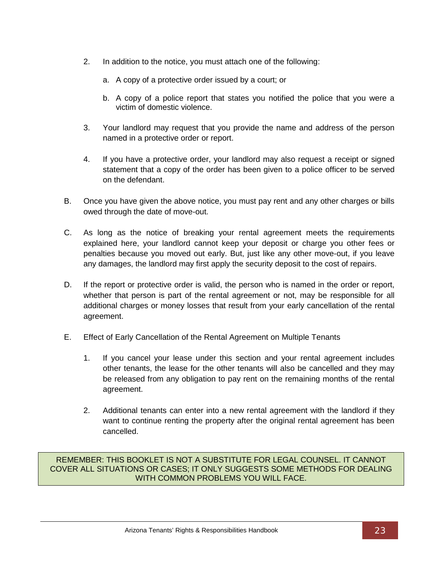- 2. In addition to the notice, you must attach one of the following:
	- a. A copy of a protective order issued by a court; or
	- b. A copy of a police report that states you notified the police that you were a victim of domestic violence.
- 3. Your landlord may request that you provide the name and address of the person named in a protective order or report.
- 4. If you have a protective order, your landlord may also request a receipt or signed statement that a copy of the order has been given to a police officer to be served on the defendant.
- B. Once you have given the above notice, you must pay rent and any other charges or bills owed through the date of move-out.
- C. As long as the notice of breaking your rental agreement meets the requirements explained here, your landlord cannot keep your deposit or charge you other fees or penalties because you moved out early. But, just like any other move-out, if you leave any damages, the landlord may first apply the security deposit to the cost of repairs.
- D. If the report or protective order is valid, the person who is named in the order or report, whether that person is part of the rental agreement or not, may be responsible for all additional charges or money losses that result from your early cancellation of the rental agreement.
- E. Effect of Early Cancellation of the Rental Agreement on Multiple Tenants
	- 1. If you cancel your lease under this section and your rental agreement includes other tenants, the lease for the other tenants will also be cancelled and they may be released from any obligation to pay rent on the remaining months of the rental agreement.
	- 2. Additional tenants can enter into a new rental agreement with the landlord if they want to continue renting the property after the original rental agreement has been cancelled.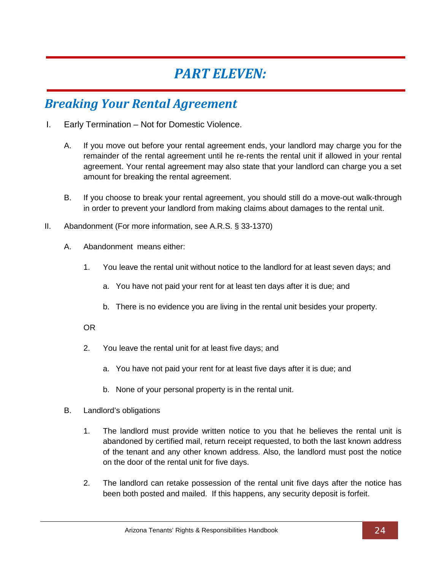## *PART ELEVEN:*

### <span id="page-27-1"></span><span id="page-27-0"></span>*Breaking Your Rental Agreement*

- <span id="page-27-2"></span>I. Early Termination – Not for Domestic Violence.
	- A. If you move out before your rental agreement ends, your landlord may charge you for the remainder of the rental agreement until he re-rents the rental unit if allowed in your rental agreement. Your rental agreement may also state that your landlord can charge you a set amount for breaking the rental agreement.
	- B. If you choose to break your rental agreement, you should still do a move-out walk-through in order to prevent your landlord from making claims about damages to the rental unit.
- <span id="page-27-3"></span>II. Abandonment (For more information, see A.R.S. § 33-1370)
	- A. Abandonment means either:
		- 1. You leave the rental unit without notice to the landlord for at least seven days; and
			- a. You have not paid your rent for at least ten days after it is due; and
			- b. There is no evidence you are living in the rental unit besides your property.

OR

- 2. You leave the rental unit for at least five days; and
	- a. You have not paid your rent for at least five days after it is due; and
	- b. None of your personal property is in the rental unit.
- B. Landlord's obligations
	- 1. The landlord must provide written notice to you that he believes the rental unit is abandoned by certified mail, return receipt requested, to both the last known address of the tenant and any other known address. Also, the landlord must post the notice on the door of the rental unit for five days.
	- 2. The landlord can retake possession of the rental unit five days after the notice has been both posted and mailed. If this happens, any security deposit is forfeit.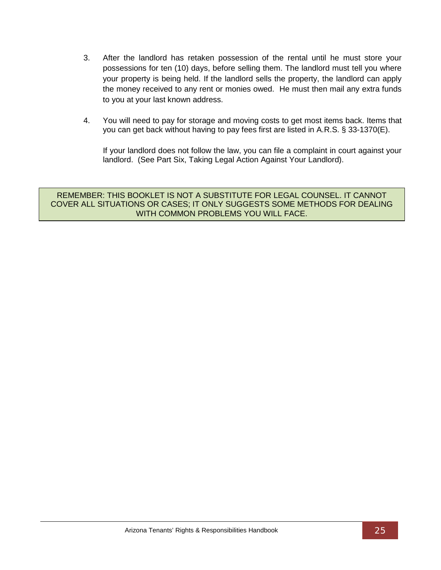- 3. After the landlord has retaken possession of the rental until he must store your possessions for ten (10) days, before selling them. The landlord must tell you where your property is being held. If the landlord sells the property, the landlord can apply the money received to any rent or monies owed. He must then mail any extra funds to you at your last known address.
- 4. You will need to pay for storage and moving costs to get most items back. Items that you can get back without having to pay fees first are listed in A.R.S. § 33-1370(E).

If your landlord does not follow the law, you can file a complaint in court against your landlord. (See Part Six, Taking Legal Action Against Your Landlord).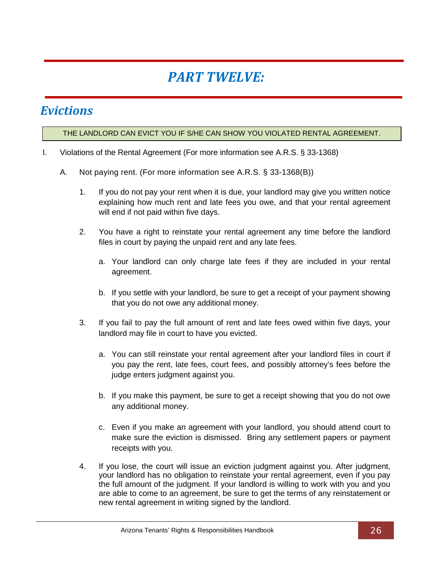# *PART TWELVE:*

### <span id="page-29-1"></span><span id="page-29-0"></span>*Evictions*

#### THE LANDLORD CAN EVICT YOU IF S/HE CAN SHOW YOU VIOLATED RENTAL AGREEMENT.

- <span id="page-29-2"></span>I. Violations of the Rental Agreement (For more information see A.R.S. § 33-1368)
	- A. Not paying rent. (For more information see A.R.S. § 33-1368(B))
		- 1. If you do not pay your rent when it is due, your landlord may give you written notice explaining how much rent and late fees you owe, and that your rental agreement will end if not paid within five days.
		- 2. You have a right to reinstate your rental agreement any time before the landlord files in court by paying the unpaid rent and any late fees.
			- a. Your landlord can only charge late fees if they are included in your rental agreement.
			- b. If you settle with your landlord, be sure to get a receipt of your payment showing that you do not owe any additional money.
		- 3. If you fail to pay the full amount of rent and late fees owed within five days, your landlord may file in court to have you evicted.
			- a. You can still reinstate your rental agreement after your landlord files in court if you pay the rent, late fees, court fees, and possibly attorney's fees before the judge enters judgment against you.
			- b. If you make this payment, be sure to get a receipt showing that you do not owe any additional money.
			- c. Even if you make an agreement with your landlord, you should attend court to make sure the eviction is dismissed. Bring any settlement papers or payment receipts with you.
		- 4. If you lose, the court will issue an eviction judgment against you. After judgment, your landlord has no obligation to reinstate your rental agreement, even if you pay the full amount of the judgment. If your landlord is willing to work with you and you are able to come to an agreement, be sure to get the terms of any reinstatement or new rental agreement in writing signed by the landlord.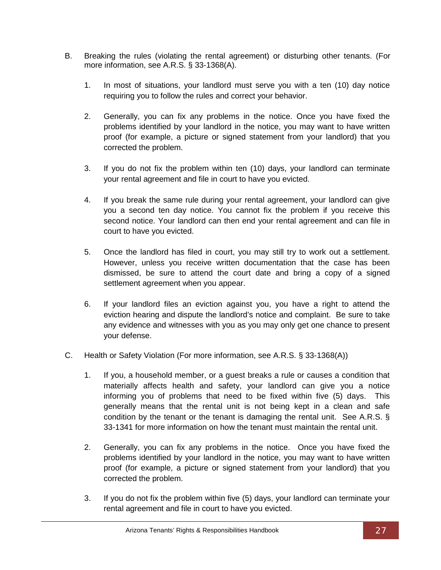- B. Breaking the rules (violating the rental agreement) or disturbing other tenants. (For more information, see A.R.S. § 33-1368(A).
	- 1. In most of situations, your landlord must serve you with a ten (10) day notice requiring you to follow the rules and correct your behavior.
	- 2. Generally, you can fix any problems in the notice. Once you have fixed the problems identified by your landlord in the notice, you may want to have written proof (for example, a picture or signed statement from your landlord) that you corrected the problem.
	- 3. If you do not fix the problem within ten (10) days, your landlord can terminate your rental agreement and file in court to have you evicted.
	- 4. If you break the same rule during your rental agreement, your landlord can give you a second ten day notice. You cannot fix the problem if you receive this second notice. Your landlord can then end your rental agreement and can file in court to have you evicted.
	- 5. Once the landlord has filed in court, you may still try to work out a settlement. However, unless you receive written documentation that the case has been dismissed, be sure to attend the court date and bring a copy of a signed settlement agreement when you appear.
	- 6. If your landlord files an eviction against you, you have a right to attend the eviction hearing and dispute the landlord's notice and complaint. Be sure to take any evidence and witnesses with you as you may only get one chance to present your defense.
- C. Health or Safety Violation (For more information, see A.R.S. § 33-1368(A))
	- 1. If you, a household member, or a guest breaks a rule or causes a condition that materially affects health and safety, your landlord can give you a notice informing you of problems that need to be fixed within five (5) days. This generally means that the rental unit is not being kept in a clean and safe condition by the tenant or the tenant is damaging the rental unit. See A.R.S. § 33-1341 for more information on how the tenant must maintain the rental unit.
	- 2. Generally, you can fix any problems in the notice. Once you have fixed the problems identified by your landlord in the notice, you may want to have written proof (for example, a picture or signed statement from your landlord) that you corrected the problem.
	- 3. If you do not fix the problem within five (5) days, your landlord can terminate your rental agreement and file in court to have you evicted.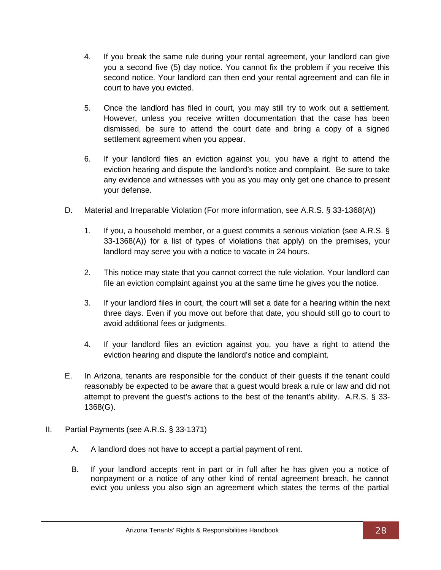- 4. If you break the same rule during your rental agreement, your landlord can give you a second five (5) day notice. You cannot fix the problem if you receive this second notice. Your landlord can then end your rental agreement and can file in court to have you evicted.
- 5. Once the landlord has filed in court, you may still try to work out a settlement. However, unless you receive written documentation that the case has been dismissed, be sure to attend the court date and bring a copy of a signed settlement agreement when you appear.
- 6. If your landlord files an eviction against you, you have a right to attend the eviction hearing and dispute the landlord's notice and complaint. Be sure to take any evidence and witnesses with you as you may only get one chance to present your defense.
- D. Material and Irreparable Violation (For more information, see A.R.S. § 33-1368(A))
	- 1. If you, a household member, or a guest commits a serious violation (see A.R.S. § 33-1368(A)) for a list of types of violations that apply) on the premises, your landlord may serve you with a notice to vacate in 24 hours.
	- 2. This notice may state that you cannot correct the rule violation. Your landlord can file an eviction complaint against you at the same time he gives you the notice.
	- 3. If your landlord files in court, the court will set a date for a hearing within the next three days. Even if you move out before that date, you should still go to court to avoid additional fees or judgments.
	- 4. If your landlord files an eviction against you, you have a right to attend the eviction hearing and dispute the landlord's notice and complaint.
- E. In Arizona, tenants are responsible for the conduct of their guests if the tenant could reasonably be expected to be aware that a guest would break a rule or law and did not attempt to prevent the guest's actions to the best of the tenant's ability. A.R.S. § 33- 1368(G).
- <span id="page-31-0"></span>II. Partial Payments (see A.R.S. § 33-1371)
	- A. A landlord does not have to accept a partial payment of rent.
	- B. If your landlord accepts rent in part or in full after he has given you a notice of nonpayment or a notice of any other kind of rental agreement breach, he cannot evict you unless you also sign an agreement which states the terms of the partial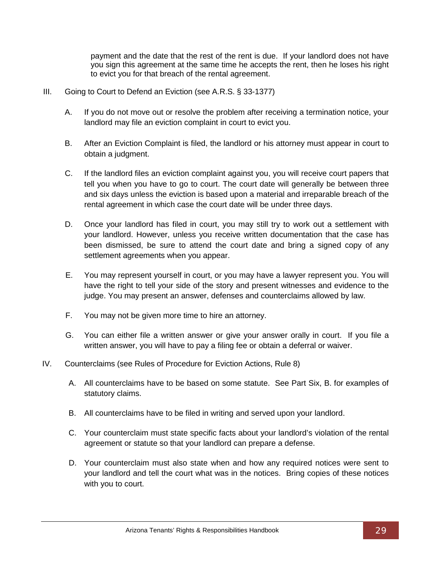payment and the date that the rest of the rent is due. If your landlord does not have you sign this agreement at the same time he accepts the rent, then he loses his right to evict you for that breach of the rental agreement.

- <span id="page-32-0"></span>III. Going to Court to Defend an Eviction (see A.R.S. § 33-1377)
	- A. If you do not move out or resolve the problem after receiving a termination notice, your landlord may file an eviction complaint in court to evict you.
	- B. After an Eviction Complaint is filed, the landlord or his attorney must appear in court to obtain a judgment.
	- C. If the landlord files an eviction complaint against you, you will receive court papers that tell you when you have to go to court. The court date will generally be between three and six days unless the eviction is based upon a material and irreparable breach of the rental agreement in which case the court date will be under three days.
	- D. Once your landlord has filed in court, you may still try to work out a settlement with your landlord. However, unless you receive written documentation that the case has been dismissed, be sure to attend the court date and bring a signed copy of any settlement agreements when you appear.
	- E. You may represent yourself in court, or you may have a lawyer represent you. You will have the right to tell your side of the story and present witnesses and evidence to the judge. You may present an answer, defenses and counterclaims allowed by law.
	- F. You may not be given more time to hire an attorney.
	- G. You can either file a written answer or give your answer orally in court. If you file a written answer, you will have to pay a filing fee or obtain a deferral or waiver.
- <span id="page-32-1"></span>IV. Counterclaims (see Rules of Procedure for Eviction Actions, Rule 8)
	- A. All counterclaims have to be based on some statute. See Part Six, B. for examples of statutory claims.
	- B. All counterclaims have to be filed in writing and served upon your landlord.
	- C. Your counterclaim must state specific facts about your landlord's violation of the rental agreement or statute so that your landlord can prepare a defense.
	- D. Your counterclaim must also state when and how any required notices were sent to your landlord and tell the court what was in the notices. Bring copies of these notices with you to court.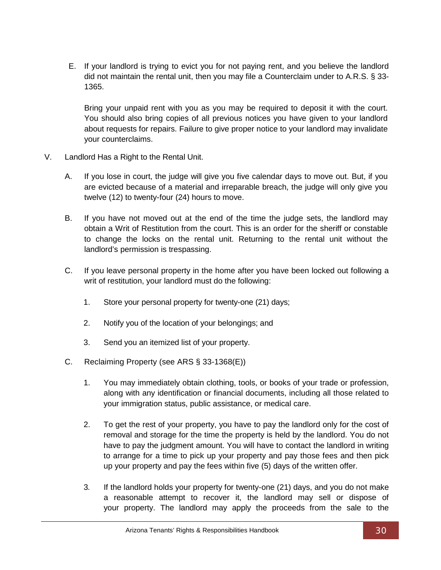E. If your landlord is trying to evict you for not paying rent, and you believe the landlord did not maintain the rental unit, then you may file a Counterclaim under to A.R.S. § 33- 1365.

Bring your unpaid rent with you as you may be required to deposit it with the court. You should also bring copies of all previous notices you have given to your landlord about requests for repairs. Failure to give proper notice to your landlord may invalidate your counterclaims.

- <span id="page-33-0"></span>V. Landlord Has a Right to the Rental Unit.
	- A. If you lose in court, the judge will give you five calendar days to move out. But, if you are evicted because of a material and irreparable breach, the judge will only give you twelve (12) to twenty-four (24) hours to move.
	- B. If you have not moved out at the end of the time the judge sets, the landlord may obtain a Writ of Restitution from the court. This is an order for the sheriff or constable to change the locks on the rental unit. Returning to the rental unit without the landlord's permission is trespassing.
	- C. If you leave personal property in the home after you have been locked out following a writ of restitution, your landlord must do the following:
		- 1. Store your personal property for twenty-one (21) days;
		- 2. Notify you of the location of your belongings; and
		- 3. Send you an itemized list of your property.
	- C. Reclaiming Property (see ARS § 33-1368(E))
		- 1. You may immediately obtain clothing, tools, or books of your trade or profession, along with any identification or financial documents, including all those related to your immigration status, public assistance, or medical care.
		- 2. To get the rest of your property, you have to pay the landlord only for the cost of removal and storage for the time the property is held by the landlord. You do not have to pay the judgment amount. You will have to contact the landlord in writing to arrange for a time to pick up your property and pay those fees and then pick up your property and pay the fees within five (5) days of the written offer.
		- 3. If the landlord holds your property for twenty-one (21) days, and you do not make a reasonable attempt to recover it, the landlord may sell or dispose of your property. The landlord may apply the proceeds from the sale to the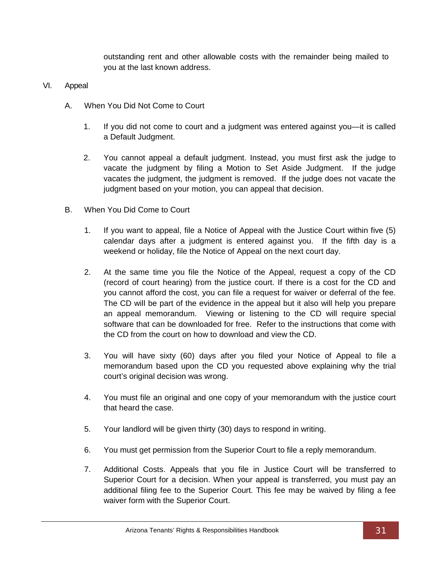outstanding rent and other allowable costs with the remainder being mailed to you at the last known address.

#### <span id="page-34-0"></span>VI. Appeal

- A. When You Did Not Come to Court
	- 1. If you did not come to court and a judgment was entered against you—it is called a Default Judgment.
	- 2. You cannot appeal a default judgment. Instead, you must first ask the judge to vacate the judgment by filing a Motion to Set Aside Judgment. If the judge vacates the judgment, the judgment is removed. If the judge does not vacate the judgment based on your motion, you can appeal that decision.
- B. When You Did Come to Court
	- 1. If you want to appeal, file a Notice of Appeal with the Justice Court within five (5) calendar days after a judgment is entered against you. If the fifth day is a weekend or holiday, file the Notice of Appeal on the next court day.
	- 2. At the same time you file the Notice of the Appeal, request a copy of the CD (record of court hearing) from the justice court. If there is a cost for the CD and you cannot afford the cost, you can file a request for waiver or deferral of the fee. The CD will be part of the evidence in the appeal but it also will help you prepare an appeal memorandum. Viewing or listening to the CD will require special software that can be downloaded for free. Refer to the instructions that come with the CD from the court on how to download and view the CD.
	- 3. You will have sixty (60) days after you filed your Notice of Appeal to file a memorandum based upon the CD you requested above explaining why the trial court's original decision was wrong.
	- 4. You must file an original and one copy of your memorandum with the justice court that heard the case.
	- 5. Your landlord will be given thirty (30) days to respond in writing.
	- 6. You must get permission from the Superior Court to file a reply memorandum.
	- 7. Additional Costs. Appeals that you file in Justice Court will be transferred to Superior Court for a decision. When your appeal is transferred, you must pay an additional filing fee to the Superior Court. This fee may be waived by filing a fee waiver form with the Superior Court.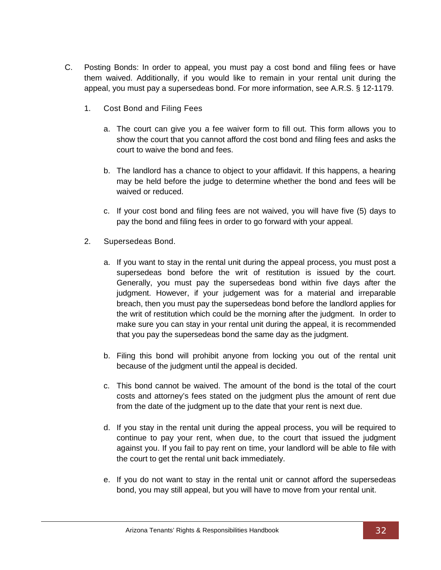- C. Posting Bonds: In order to appeal, you must pay a cost bond and filing fees or have them waived. Additionally, if you would like to remain in your rental unit during the appeal, you must pay a supersedeas bond. For more information, see A.R.S. § 12-1179.
	- 1. Cost Bond and Filing Fees
		- a. The court can give you a fee waiver form to fill out. This form allows you to show the court that you cannot afford the cost bond and filing fees and asks the court to waive the bond and fees.
		- b. The landlord has a chance to object to your affidavit. If this happens, a hearing may be held before the judge to determine whether the bond and fees will be waived or reduced.
		- c. If your cost bond and filing fees are not waived, you will have five (5) days to pay the bond and filing fees in order to go forward with your appeal.
	- 2. Supersedeas Bond.
		- a. If you want to stay in the rental unit during the appeal process, you must post a supersedeas bond before the writ of restitution is issued by the court. Generally, you must pay the supersedeas bond within five days after the judgment. However, if your judgement was for a material and irreparable breach, then you must pay the supersedeas bond before the landlord applies for the writ of restitution which could be the morning after the judgment. In order to make sure you can stay in your rental unit during the appeal, it is recommended that you pay the supersedeas bond the same day as the judgment.
		- b. Filing this bond will prohibit anyone from locking you out of the rental unit because of the judgment until the appeal is decided.
		- c. This bond cannot be waived. The amount of the bond is the total of the court costs and attorney's fees stated on the judgment plus the amount of rent due from the date of the judgment up to the date that your rent is next due.
		- d. If you stay in the rental unit during the appeal process, you will be required to continue to pay your rent, when due, to the court that issued the judgment against you. If you fail to pay rent on time, your landlord will be able to file with the court to get the rental unit back immediately.
		- e. If you do not want to stay in the rental unit or cannot afford the supersedeas bond, you may still appeal, but you will have to move from your rental unit.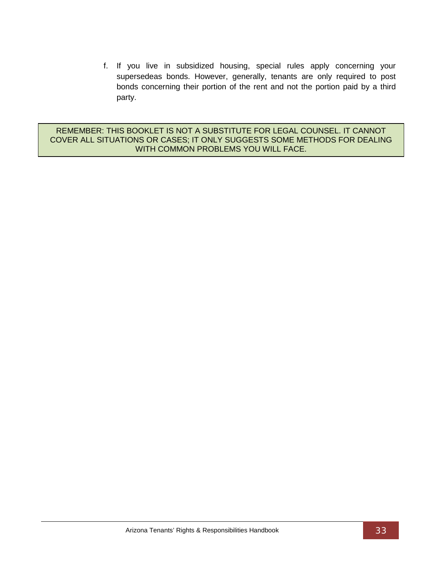f. If you live in subsidized housing, special rules apply concerning your supersedeas bonds. However, generally, tenants are only required to post bonds concerning their portion of the rent and not the portion paid by a third party.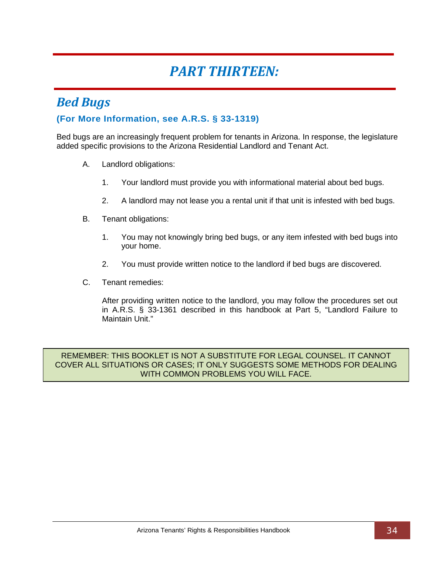## *PART THIRTEEN:*

### <span id="page-37-1"></span><span id="page-37-0"></span>*Bed Bugs*

#### **(For More Information, see A.R.S. § 33-1319)**

Bed bugs are an increasingly frequent problem for tenants in Arizona. In response, the legislature added specific provisions to the Arizona Residential Landlord and Tenant Act.

- A. Landlord obligations:
	- 1. Your landlord must provide you with informational material about bed bugs.
	- 2. A landlord may not lease you a rental unit if that unit is infested with bed bugs.
- B. Tenant obligations:
	- 1. You may not knowingly bring bed bugs, or any item infested with bed bugs into your home.
	- 2. You must provide written notice to the landlord if bed bugs are discovered.
- C. Tenant remedies:

After providing written notice to the landlord, you may follow the procedures set out in A.R.S. § 33-1361 described in this handbook at Part 5, "Landlord Failure to Maintain Unit."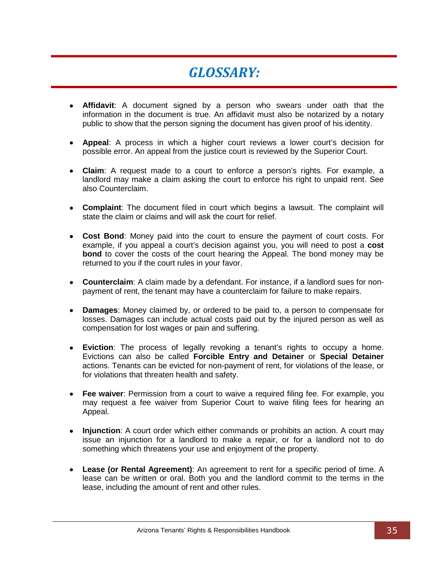## *GLOSSARY:*

- <span id="page-38-0"></span>• **Affidavit**: A document signed by a person who swears under oath that the information in the document is true. An affidavit must also be notarized by a notary public to show that the person signing the document has given proof of his identity.
- **Appeal**: A process in which a higher court reviews a lower court's decision for possible error. An appeal from the justice court is reviewed by the Superior Court.
- **Claim**: A request made to a court to enforce a person's rights. For example, a landlord may make a claim asking the court to enforce his right to unpaid rent. See also Counterclaim.
- **Complaint**: The document filed in court which begins a lawsuit. The complaint will state the claim or claims and will ask the court for relief.
- **Cost Bond**: Money paid into the court to ensure the payment of court costs. For example, if you appeal a court's decision against you, you will need to post a **cost bond** to cover the costs of the court hearing the Appeal. The bond money may be returned to you if the court rules in your favor.
- **Counterclaim**: A claim made by a defendant. For instance, if a landlord sues for nonpayment of rent, the tenant may have a counterclaim for failure to make repairs.
- **Damages**: Money claimed by, or ordered to be paid to, a person to compensate for losses. Damages can include actual costs paid out by the injured person as well as compensation for lost wages or pain and suffering.
- **Eviction**: The process of legally revoking a tenant's rights to occupy a home. Evictions can also be called **Forcible Entry and Detainer** or **Special Detainer**  actions. Tenants can be evicted for non-payment of rent, for violations of the lease, or for violations that threaten health and safety.
- **Fee waiver**: Permission from a court to waive a required filing fee. For example, you may request a fee waiver from Superior Court to waive filing fees for hearing an Appeal.
- **Injunction**: A court order which either commands or prohibits an action. A court may issue an injunction for a landlord to make a repair, or for a landlord not to do something which threatens your use and enjoyment of the property.
- **Lease (or Rental Agreement)**: An agreement to rent for a specific period of time. A lease can be written or oral. Both you and the landlord commit to the terms in the lease, including the amount of rent and other rules.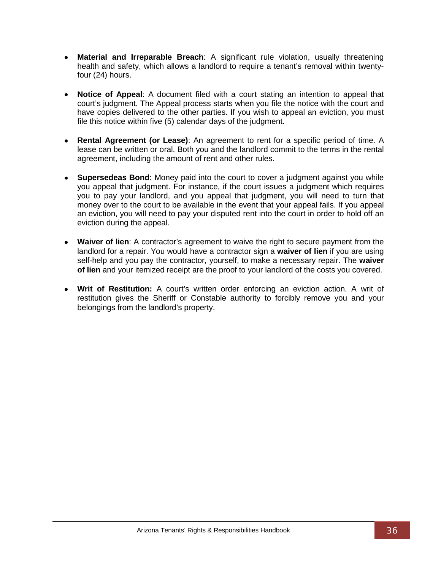- **Material and Irreparable Breach**: A significant rule violation, usually threatening health and safety, which allows a landlord to require a tenant's removal within twentyfour (24) hours.
- **Notice of Appeal:** A document filed with a court stating an intention to appeal that court's judgment. The Appeal process starts when you file the notice with the court and have copies delivered to the other parties. If you wish to appeal an eviction, you must file this notice within five (5) calendar days of the judgment.
- **Rental Agreement (or Lease)**: An agreement to rent for a specific period of time. A lease can be written or oral. Both you and the landlord commit to the terms in the rental agreement, including the amount of rent and other rules.
- **Supersedeas Bond**: Money paid into the court to cover a judgment against you while you appeal that judgment. For instance, if the court issues a judgment which requires you to pay your landlord, and you appeal that judgment, you will need to turn that money over to the court to be available in the event that your appeal fails. If you appeal an eviction, you will need to pay your disputed rent into the court in order to hold off an eviction during the appeal.
- **Waiver of lien**: A contractor's agreement to waive the right to secure payment from the landlord for a repair. You would have a contractor sign a **waiver of lien** if you are using self-help and you pay the contractor, yourself, to make a necessary repair. The **waiver of lien** and your itemized receipt are the proof to your landlord of the costs you covered.
- **Writ of Restitution:** A court's written order enforcing an eviction action. A writ of restitution gives the Sheriff or Constable authority to forcibly remove you and your belongings from the landlord's property.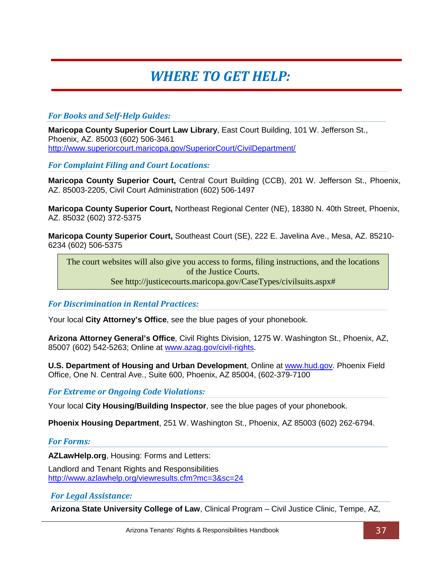# *WHERE TO GET HELP:*

#### <span id="page-40-0"></span>*For Books and Self-Help Guides:*

**Maricopa County Superior Court Law Library**, East Court Building, 101 W. Jefferson St., Phoenix, AZ. 85003 (602) 506-3461 <http://www.superiorcourt.maricopa.gov/SuperiorCourt/CivilDepartment/>

*For Complaint Filing and Court Locations:*

**Maricopa County Superior Court,** Central Court Building (CCB), 201 W. Jefferson St., Phoenix, AZ. 85003-2205, Civil Court Administration (602) 506-1497

**Maricopa County Superior Court,** Northeast Regional Center (NE), 18380 N. 40th Street, Phoenix, AZ. 85032 (602) 372-5375

**Maricopa County Superior Court,** Southeast Court (SE), 222 E. Javelina Ave., Mesa, AZ. 85210- 6234 (602) 506-5375

The court websites will also give you access to forms, filing instructions, and the locations of the Justice Courts.

See http://justicecourts.maricopa.gov/CaseTypes/civilsuits.aspx#

*For Discrimination in Rental Practices:*

Your local **City Attorney's Office**, see the blue pages of your phonebook.

**Arizona Attorney General's Office**, Civil Rights Division, 1275 W. Washington St., Phoenix, AZ, 85007 (602) 542-5263; Online at [www.azag.gov/civil-rights.](http://www.azag.gov/civil-rights)

**U.S. Department of Housing and Urban Development**, Online at [www.hud.gov.](http://www.hud.gov/) Phoenix Field Office, One N. Central Ave., Suite 600, Phoenix, AZ 85004, (602-379-7100

*For Extreme or Ongoing Code Violations:*

Your local **City Housing/Building Inspector**, see the blue pages of your phonebook.

**Phoenix Housing Department**, 251 W. Washington St., Phoenix, AZ 85003 (602) 262-6794.

#### *For Forms:*

**AZLawHelp.org**, Housing: Forms and Letters:

Landlord and Tenant Rights and Responsibilities <http://www.azlawhelp.org/viewresults.cfm?mc=3&sc=24>

#### *For Legal Assistance:*

**Arizona State University College of Law**, Clinical Program – Civil Justice Clinic, Tempe, AZ,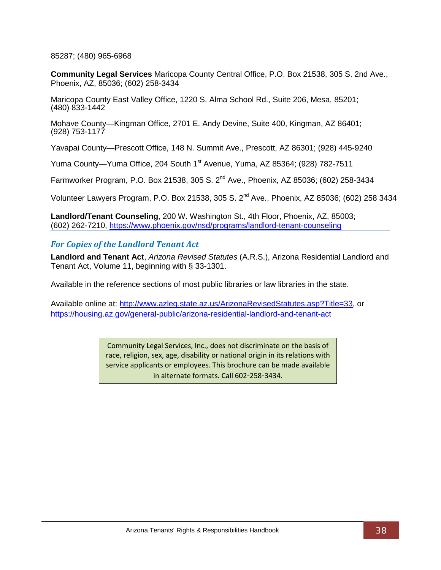85287; (480) 965-6968

**Community Legal Services** Maricopa County Central Office, P.O. Box 21538, 305 S. 2nd Ave., Phoenix, AZ, 85036; (602) 258-3434

Maricopa County East Valley Office, 1220 S. Alma School Rd., Suite 206, Mesa, 85201; (480) 833-1442

Mohave County—Kingman Office, 2701 E. Andy Devine, Suite 400, Kingman, AZ 86401; (928) 753-1177

Yavapai County—Prescott Office, 148 N. Summit Ave., Prescott, AZ 86301; (928) 445-9240

Yuma County—Yuma Office, 204 South 1<sup>st</sup> Avenue, Yuma, AZ 85364; (928) 782-7511

Farmworker Program, P.O. Box 21538, 305 S. 2nd Ave., Phoenix, AZ 85036; (602) 258-3434

Volunteer Lawyers Program, P.O. Box 21538, 305 S. 2nd Ave., Phoenix, AZ 85036; (602) 258 3434

**Landlord/Tenant Counseling**, 200 W. Washington St., 4th Floor, Phoenix, AZ, 85003; (602) 262-7210,<https://www.phoenix.gov/nsd/programs/landlord-tenant-counseling>

#### *For Copies of the Landlord Tenant Act*

**Landlord and Tenant Act**, *Arizona Revised Statutes* (A.R.S.), Arizona Residential Landlord and Tenant Act, Volume 11, beginning with § 33-1301.

Available in the reference sections of most public libraries or law libraries in the state.

Available online at: [http://www.azleg.state.az.us/ArizonaRevisedStatutes.asp?Title=33,](http://www.azleg.state.az.us/ArizonaRevisedStatutes.asp?Title=33) or <https://housing.az.gov/general-public/arizona-residential-landlord-and-tenant-act>

> Community Legal Services, Inc., does not discriminate on the basis of race, religion, sex, age, disability or national origin in its relations with service applicants or employees. This brochure can be made available in alternate formats. Call 602‐258‐3434.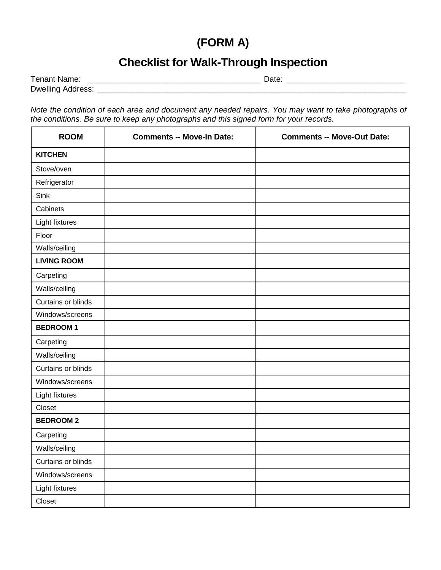## **(FORM A)**

### **Checklist for Walk-Through Inspection**

| Tenant Name:             | $-1 -$ |  |
|--------------------------|--------|--|
| <b>Dwelling Address:</b> |        |  |

*Note the condition of each area and document any needed repairs. You may want to take photographs of the conditions. Be sure to keep any photographs and this signed form for your records.*

| <b>ROOM</b>        | <b>Comments -- Move-In Date:</b> | <b>Comments -- Move-Out Date:</b> |
|--------------------|----------------------------------|-----------------------------------|
| <b>KITCHEN</b>     |                                  |                                   |
| Stove/oven         |                                  |                                   |
| Refrigerator       |                                  |                                   |
| Sink               |                                  |                                   |
| Cabinets           |                                  |                                   |
| Light fixtures     |                                  |                                   |
| Floor              |                                  |                                   |
| Walls/ceiling      |                                  |                                   |
| <b>LIVING ROOM</b> |                                  |                                   |
| Carpeting          |                                  |                                   |
| Walls/ceiling      |                                  |                                   |
| Curtains or blinds |                                  |                                   |
| Windows/screens    |                                  |                                   |
| <b>BEDROOM1</b>    |                                  |                                   |
| Carpeting          |                                  |                                   |
| Walls/ceiling      |                                  |                                   |
| Curtains or blinds |                                  |                                   |
| Windows/screens    |                                  |                                   |
| Light fixtures     |                                  |                                   |
| Closet             |                                  |                                   |
| <b>BEDROOM2</b>    |                                  |                                   |
| Carpeting          |                                  |                                   |
| Walls/ceiling      |                                  |                                   |
| Curtains or blinds |                                  |                                   |
| Windows/screens    |                                  |                                   |
| Light fixtures     |                                  |                                   |
| Closet             |                                  |                                   |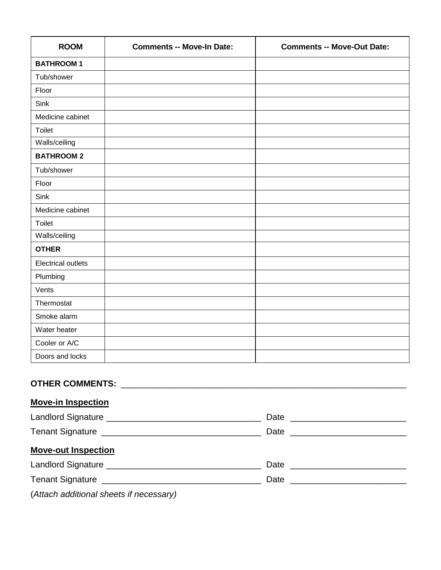| <b>ROOM</b>                                | <b>Comments -- Move-In Date:</b>                                                                                                                                                                                               | <b>Comments -- Move-Out Date:</b> |  |
|--------------------------------------------|--------------------------------------------------------------------------------------------------------------------------------------------------------------------------------------------------------------------------------|-----------------------------------|--|
| <b>BATHROOM1</b>                           |                                                                                                                                                                                                                                |                                   |  |
| Tub/shower                                 |                                                                                                                                                                                                                                |                                   |  |
| Floor                                      |                                                                                                                                                                                                                                |                                   |  |
| Sink                                       |                                                                                                                                                                                                                                |                                   |  |
| Medicine cabinet                           |                                                                                                                                                                                                                                |                                   |  |
| Toilet                                     |                                                                                                                                                                                                                                |                                   |  |
| Walls/ceiling                              |                                                                                                                                                                                                                                |                                   |  |
| <b>BATHROOM 2</b>                          |                                                                                                                                                                                                                                |                                   |  |
| Tub/shower                                 |                                                                                                                                                                                                                                |                                   |  |
| Floor                                      |                                                                                                                                                                                                                                |                                   |  |
| Sink                                       |                                                                                                                                                                                                                                |                                   |  |
| Medicine cabinet                           |                                                                                                                                                                                                                                |                                   |  |
| Toilet                                     |                                                                                                                                                                                                                                |                                   |  |
| Walls/ceiling                              |                                                                                                                                                                                                                                |                                   |  |
| <b>OTHER</b>                               |                                                                                                                                                                                                                                |                                   |  |
| <b>Electrical outlets</b>                  |                                                                                                                                                                                                                                |                                   |  |
| Plumbing                                   |                                                                                                                                                                                                                                |                                   |  |
| Vents                                      |                                                                                                                                                                                                                                |                                   |  |
| Thermostat                                 |                                                                                                                                                                                                                                |                                   |  |
| Smoke alarm                                |                                                                                                                                                                                                                                |                                   |  |
| Water heater                               |                                                                                                                                                                                                                                |                                   |  |
| Cooler or A/C                              |                                                                                                                                                                                                                                |                                   |  |
|                                            | Doors and locks and the state of the state of the state of the state of the state of the state of the state of the state of the state of the state of the state of the state of the state of the state of the state of the sta |                                   |  |
|                                            |                                                                                                                                                                                                                                |                                   |  |
| <b>Move-in Inspection</b>                  |                                                                                                                                                                                                                                |                                   |  |
| <b>Landlord Signature</b><br>Date ________ |                                                                                                                                                                                                                                |                                   |  |

|                            | Date |  |
|----------------------------|------|--|
| <b>Move-out Inspection</b> |      |  |
|                            | Date |  |
|                            | Date |  |
|                            |      |  |

(*Attach additional sheets if necessary)*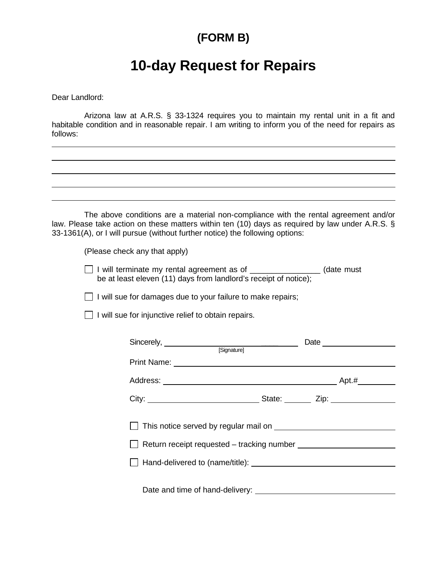### **(FORM B)**

## **10-day Request for Repairs**

Dear Landlord:

Arizona law at A.R.S. § 33-1324 requires you to maintain my rental unit in a fit and habitable condition and in reasonable repair. I am writing to inform you of the need for repairs as follows:

The above conditions are a material non-compliance with the rental agreement and/or law. Please take action on these matters within ten (10) days as required by law under A.R.S. § 33-1361(A), or I will pursue (without further notice) the following options:

(Please check any that apply)

I will terminate my rental agreement as of \_\_\_\_\_\_\_\_\_\_\_\_\_\_\_\_ (date must be at least eleven (11) days from landlord's receipt of notice);

 $\Box$  I will sue for damages due to your failure to make repairs;

 $\Box$  I will sue for injunctive relief to obtain repairs.

| Sincerely, Sincerely, Signature] |  |  |
|----------------------------------|--|--|
|                                  |  |  |
|                                  |  |  |
|                                  |  |  |
|                                  |  |  |
|                                  |  |  |
|                                  |  |  |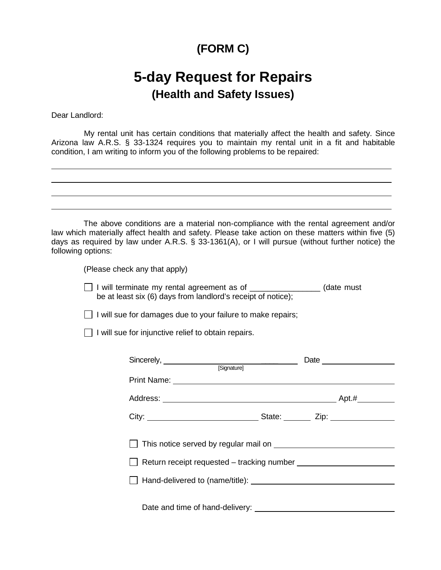### **(FORM C)**

## **5-day Request for Repairs (Health and Safety Issues)**

Dear Landlord:

My rental unit has certain conditions that materially affect the health and safety. Since Arizona law A.R.S. § 33-1324 requires you to maintain my rental unit in a fit and habitable condition, I am writing to inform you of the following problems to be repaired:

| The above conditions are a material non-compliance with the rental agreement and/or<br>law which materially affect health and safety. Please take action on these matters within five (5)<br>days as required by law under A.R.S. § 33-1361(A), or I will pursue (without further notice) the<br>following options: |
|---------------------------------------------------------------------------------------------------------------------------------------------------------------------------------------------------------------------------------------------------------------------------------------------------------------------|
| (Please check any that apply)                                                                                                                                                                                                                                                                                       |
| □ I will terminate my rental agreement as of _________________ (date must<br>be at least six (6) days from landlord's receipt of notice);                                                                                                                                                                           |
| $\Box$ I will sue for damages due to your failure to make repairs;                                                                                                                                                                                                                                                  |
| $\Box$ I will sue for injunctive relief to obtain repairs.                                                                                                                                                                                                                                                          |
|                                                                                                                                                                                                                                                                                                                     |
| Sincerely, Sincerely, Signature Signature Contract Date Contract Date Contract of Signature Contract Date Contract Date Contract On the Contract On the Contract On the Contract On the Contract On the Contract On the Contra                                                                                      |
| Print Name: <u>Discovery and the second contract of the second contract of the second contract of the second contract of the second contract of the second contract of the second contract of the second contract of the second </u>                                                                                |
|                                                                                                                                                                                                                                                                                                                     |
|                                                                                                                                                                                                                                                                                                                     |
|                                                                                                                                                                                                                                                                                                                     |
|                                                                                                                                                                                                                                                                                                                     |
|                                                                                                                                                                                                                                                                                                                     |
|                                                                                                                                                                                                                                                                                                                     |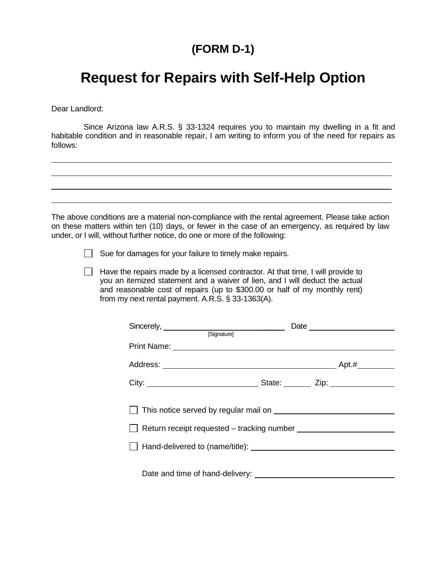### **(FORM D-1)**

## **Request for Repairs with Self-Help Option**

Dear Landlord:

Since Arizona law A.R.S. § 33-1324 requires you to maintain my dwelling in a fit and habitable condition and in reasonable repair, I am writing to inform you of the need for repairs as follows:

The above conditions are a material non-compliance with the rental agreement. Please take action on these matters within ten (10) days, or fewer in the case of an emergency, as required by law under, or I will, without further notice, do one or more of the following:

 $\Box$  Sue for damages for your failure to timely make repairs.

 $\Box$  Have the repairs made by a licensed contractor. At that time, I will provide to you an itemized statement and a waiver of lien, and I will deduct the actual and reasonable cost of repairs (up to \$300.00 or half of my monthly rent) from my next rental payment. A.R.S. § 33-1363(A).

| Sincerely, <u>successively</u> and some strategies are produced as a set of strategies of strategies and strategies are produced as a set of strategies of strategies and strategies are produced as a set of strategies and strate | Date <u>experience</u> |  |
|-------------------------------------------------------------------------------------------------------------------------------------------------------------------------------------------------------------------------------------|------------------------|--|
|                                                                                                                                                                                                                                     |                        |  |
|                                                                                                                                                                                                                                     |                        |  |
|                                                                                                                                                                                                                                     |                        |  |
|                                                                                                                                                                                                                                     |                        |  |
|                                                                                                                                                                                                                                     |                        |  |
|                                                                                                                                                                                                                                     |                        |  |
|                                                                                                                                                                                                                                     |                        |  |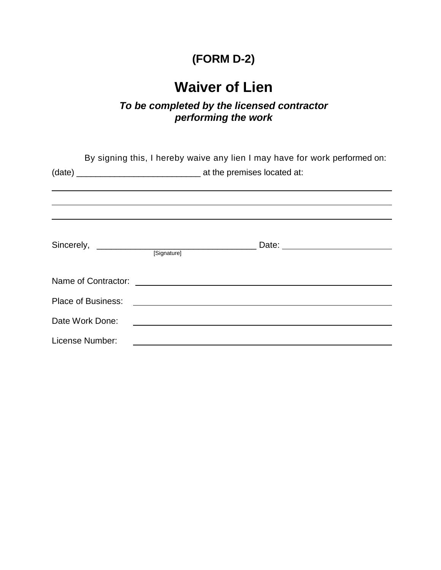## **(FORM D-2)**

# **Waiver of Lien**

#### *To be completed by the licensed contractor performing the work*

|                 |             | By signing this, I hereby waive any lien I may have for work performed on:<br><u> 1989 - Andrea Santa Andrea Santa Andrea Santa Andrea Santa Andrea Santa Andrea Santa Andrea Santa Andrea San</u> |  |
|-----------------|-------------|----------------------------------------------------------------------------------------------------------------------------------------------------------------------------------------------------|--|
|                 |             |                                                                                                                                                                                                    |  |
|                 |             |                                                                                                                                                                                                    |  |
|                 | [Signature] |                                                                                                                                                                                                    |  |
|                 |             |                                                                                                                                                                                                    |  |
|                 |             |                                                                                                                                                                                                    |  |
| Date Work Done: |             | <u> 1989 - Jan Stein Stein, fransk politik (d. 1989)</u>                                                                                                                                           |  |
| License Number: |             |                                                                                                                                                                                                    |  |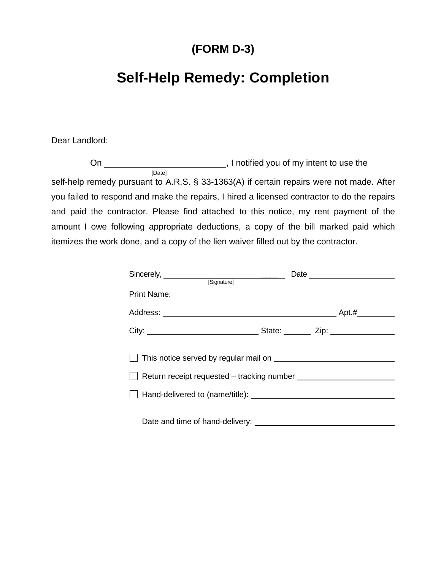### **(FORM D-3)**

## **Self-Help Remedy: Completion**

Dear Landlord:

On , I notified you of my intent to use the [Date] self-help remedy pursuant to A.R.S. § 33-1363(A) if certain repairs were not made. After you failed to respond and make the repairs, I hired a licensed contractor to do the repairs and paid the contractor. Please find attached to this notice, my rent payment of the amount I owe following appropriate deductions, a copy of the bill marked paid which itemizes the work done, and a copy of the lien waiver filled out by the contractor.

| Sincerely, <u>successively</u> and some state of the set of the set of the set of the set of the set of the set of the set of the set of the set of the set of the set of the set of the set of the set of the set of the set of th |  |  |
|-------------------------------------------------------------------------------------------------------------------------------------------------------------------------------------------------------------------------------------|--|--|
|                                                                                                                                                                                                                                     |  |  |
|                                                                                                                                                                                                                                     |  |  |
|                                                                                                                                                                                                                                     |  |  |
|                                                                                                                                                                                                                                     |  |  |
|                                                                                                                                                                                                                                     |  |  |
|                                                                                                                                                                                                                                     |  |  |
|                                                                                                                                                                                                                                     |  |  |
|                                                                                                                                                                                                                                     |  |  |
|                                                                                                                                                                                                                                     |  |  |
|                                                                                                                                                                                                                                     |  |  |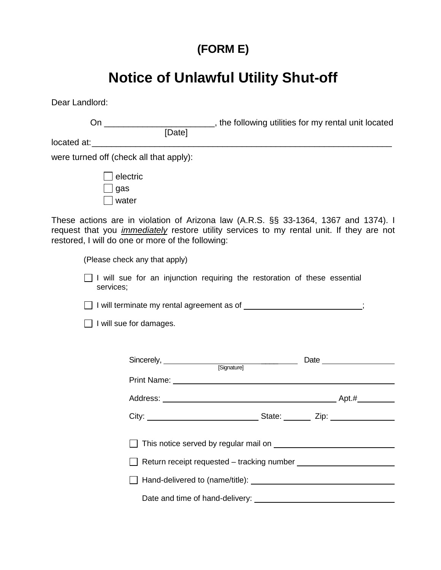# **(FORM E)**

# **Notice of Unlawful Utility Shut-off**

Dear Landlord:

|           |                                                   |                                                                                  | On ______________________________, the following utilities for my rental unit located<br>[Date]                                                                                        |
|-----------|---------------------------------------------------|----------------------------------------------------------------------------------|----------------------------------------------------------------------------------------------------------------------------------------------------------------------------------------|
|           |                                                   |                                                                                  |                                                                                                                                                                                        |
|           |                                                   |                                                                                  |                                                                                                                                                                                        |
|           | were turned off (check all that apply):           |                                                                                  |                                                                                                                                                                                        |
| _l gas    | $ $ electric<br>$ $ water                         |                                                                                  |                                                                                                                                                                                        |
|           | restored, I will do one or more of the following: |                                                                                  | These actions are in violation of Arizona law (A.R.S. §§ 33-1364, 1367 and 1374). I<br>request that you <i>immediately</i> restore utility services to my rental unit. If they are not |
|           | (Please check any that apply)                     |                                                                                  |                                                                                                                                                                                        |
| services; |                                                   | $\Box$ I will sue for an injunction requiring the restoration of these essential |                                                                                                                                                                                        |
|           |                                                   | □ I will terminate my rental agreement as of ________________________;           |                                                                                                                                                                                        |
|           | $\Box$ I will sue for damages.                    |                                                                                  |                                                                                                                                                                                        |
|           |                                                   |                                                                                  |                                                                                                                                                                                        |
|           |                                                   |                                                                                  | Sincerely, Sincerely, Signature] Date <b>Date</b>                                                                                                                                      |
|           |                                                   |                                                                                  |                                                                                                                                                                                        |
|           |                                                   |                                                                                  |                                                                                                                                                                                        |
|           |                                                   |                                                                                  |                                                                                                                                                                                        |
|           |                                                   |                                                                                  |                                                                                                                                                                                        |
|           |                                                   |                                                                                  |                                                                                                                                                                                        |
|           |                                                   |                                                                                  |                                                                                                                                                                                        |
|           |                                                   |                                                                                  |                                                                                                                                                                                        |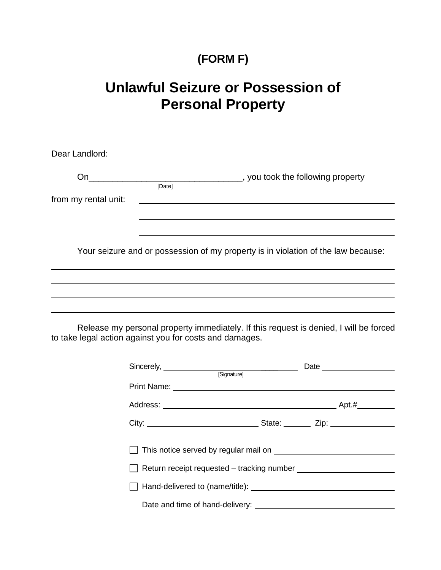### **(FORM F)**

## **Unlawful Seizure or Possession of Personal Property**

| Dear Landlord:                                          |        |                                                                                                                         |  |  |
|---------------------------------------------------------|--------|-------------------------------------------------------------------------------------------------------------------------|--|--|
|                                                         | [Date] |                                                                                                                         |  |  |
| from my rental unit:                                    |        | <u> The Communication of the Communication of the Communication of the Communication of the Communication of the Co</u> |  |  |
|                                                         |        | <u> 1989 - Andrea Santa Andrea Santa Andrea Santa Andrea Santa Andrea Santa Andrea Santa Andrea Santa Andrea San</u>    |  |  |
|                                                         |        | Your seizure and or possession of my property is in violation of the law because:                                       |  |  |
|                                                         |        |                                                                                                                         |  |  |
|                                                         |        |                                                                                                                         |  |  |
| to take legal action against you for costs and damages. |        | Release my personal property immediately. If this request is denied, I will be forced                                   |  |  |
|                                                         |        | Sincerely, Signature]                                                                                                   |  |  |
|                                                         |        |                                                                                                                         |  |  |
|                                                         |        |                                                                                                                         |  |  |
|                                                         |        |                                                                                                                         |  |  |
|                                                         |        |                                                                                                                         |  |  |

| $\Box$ Return receipt requested – tracking number |  |
|---------------------------------------------------|--|
|                                                   |  |

- Hand-delivered to (name/title):
	- Date and time of hand-delivery: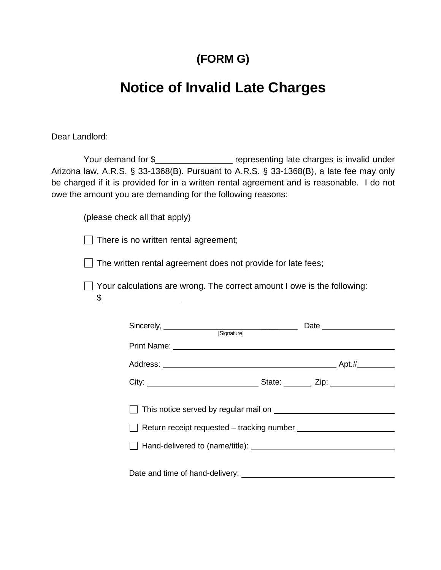#### **(FORM G)**

## **Notice of Invalid Late Charges**

Dear Landlord:

Your demand for \$ representing late charges is invalid under Arizona law, A.R.S. § 33-1368(B). Pursuant to A.R.S. § 33-1368(B), a late fee may only be charged if it is provided for in a written rental agreement and is reasonable. I do not owe the amount you are demanding for the following reasons:

(please check all that apply)

 $\Box$  There is no written rental agreement;

 $\Box$  The written rental agreement does not provide for late fees;

□ Your calculations are wrong. The correct amount I owe is the following:

| ı |  |
|---|--|
| l |  |
|   |  |

| Sincerely, Sincerely, Signature]                                                |  |
|---------------------------------------------------------------------------------|--|
|                                                                                 |  |
|                                                                                 |  |
|                                                                                 |  |
| □ Return receipt requested - tracking number __________________________________ |  |
|                                                                                 |  |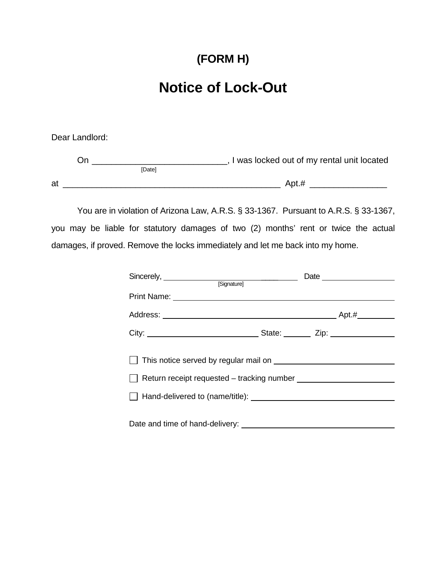### **(FORM H)**

## **Notice of Lock-Out**

Dear Landlord:

| าn ิ |               | I was locked out of my rental unit located |
|------|---------------|--------------------------------------------|
|      | <b>IDatel</b> |                                            |
| at   |               | Apt.#                                      |

You are in violation of Arizona Law, A.R.S. § 33-1367. Pursuant to A.R.S. § 33-1367, you may be liable for statutory damages of two (2) months' rent or twice the actual damages, if proved. Remove the locks immediately and let me back into my home.

| Sincerely, Sincerely, Signature |  |
|---------------------------------|--|
|                                 |  |
|                                 |  |
|                                 |  |
|                                 |  |
|                                 |  |
|                                 |  |
|                                 |  |
|                                 |  |
|                                 |  |
|                                 |  |
|                                 |  |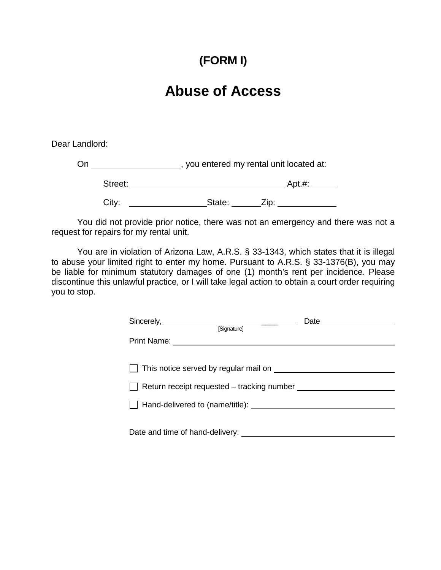## **(FORM I)**

## **Abuse of Access**

Dear Landlord:

On \_\_\_\_\_\_\_\_\_\_\_\_\_\_\_\_\_\_\_\_\_\_, you entered my rental unit located at: Street: Apt.#: City: State: Zip:

You did not provide prior notice, there was not an emergency and there was not a request for repairs for my rental unit.

You are in violation of Arizona Law, A.R.S. § 33-1343, which states that it is illegal to abuse your limited right to enter my home. Pursuant to A.R.S. § 33-1376(B), you may be liable for minimum statutory damages of one (1) month's rent per incidence. Please discontinue this unlawful practice, or I will take legal action to obtain a court order requiring you to stop.

| [Signature]                                                                                                                                                                                                                    |  |
|--------------------------------------------------------------------------------------------------------------------------------------------------------------------------------------------------------------------------------|--|
| Print Name: Name: Name of Alberta Alberta Alberta Alberta Alberta Alberta Alberta Alberta Alberta Alberta Alberta Alberta Alberta Alberta Alberta Alberta Alberta Alberta Alberta Alberta Alberta Alberta Alberta Alberta Albe |  |
|                                                                                                                                                                                                                                |  |
|                                                                                                                                                                                                                                |  |
| $\Box$ This notice served by regular mail on $\Box$                                                                                                                                                                            |  |
|                                                                                                                                                                                                                                |  |
|                                                                                                                                                                                                                                |  |
|                                                                                                                                                                                                                                |  |
|                                                                                                                                                                                                                                |  |
|                                                                                                                                                                                                                                |  |
|                                                                                                                                                                                                                                |  |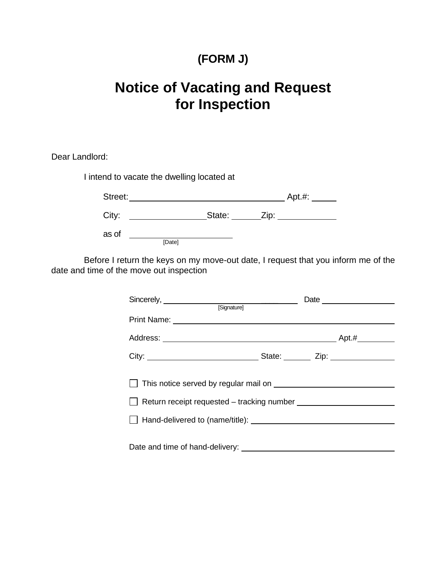### **(FORM J)**

# **Notice of Vacating and Request for Inspection**

Dear Landlord:

I intend to vacate the dwelling located at

| Street: |        |        |      | Apt. #: |
|---------|--------|--------|------|---------|
| City:   |        | State: | Zip: |         |
| as of   |        |        |      |         |
|         | [Date] |        |      |         |

Before I return the keys on my move-out date, I request that you inform me of the date and time of the move out inspection

| Sincerely, <u>example and the set of the set of the set of the set of the set of the set of the set of the set of the set of the set of the set of the set of the set of the set of the set of the set of the set of the set of </u> |  |
|--------------------------------------------------------------------------------------------------------------------------------------------------------------------------------------------------------------------------------------|--|
| [Signature]                                                                                                                                                                                                                          |  |
|                                                                                                                                                                                                                                      |  |
|                                                                                                                                                                                                                                      |  |
|                                                                                                                                                                                                                                      |  |
|                                                                                                                                                                                                                                      |  |
|                                                                                                                                                                                                                                      |  |
|                                                                                                                                                                                                                                      |  |
|                                                                                                                                                                                                                                      |  |
|                                                                                                                                                                                                                                      |  |
|                                                                                                                                                                                                                                      |  |